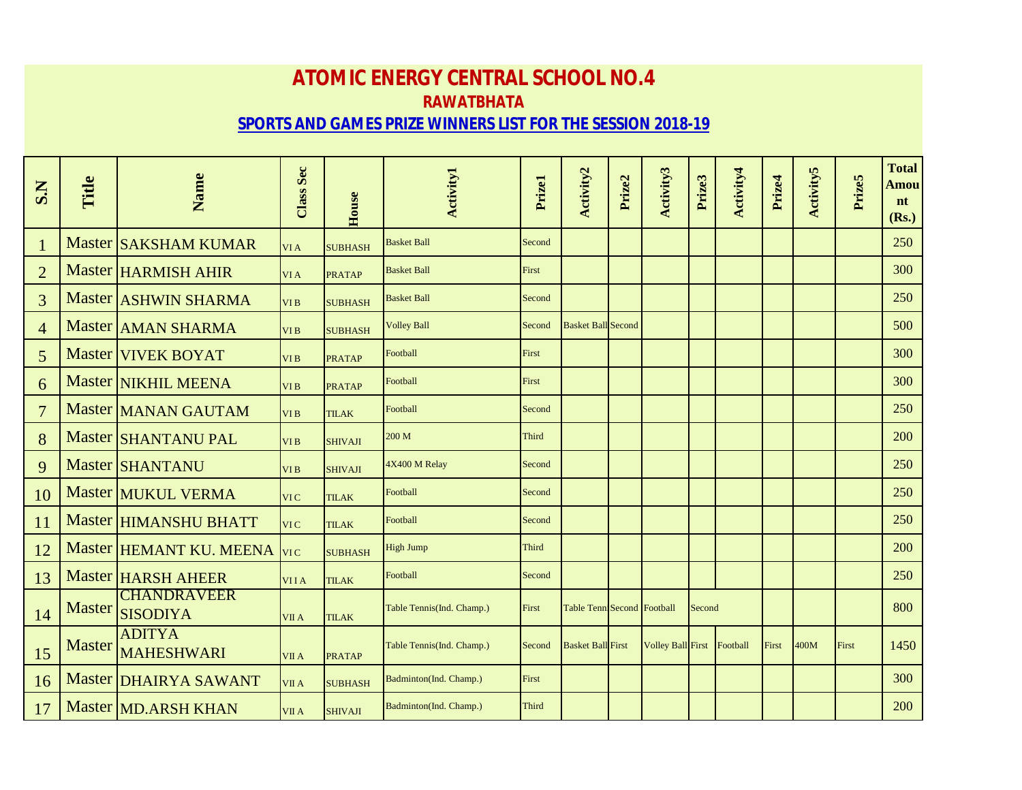## **ATOMIC ENERGY CENTRAL SCHOOL NO.4 RAWATBHATA SPORTS AND GAMES PRIZE WINNERS LIST FOR THE SESSION 2018-19**

| S.N            | Title         | Name                                  | <b>Class Sec</b> | House          | <b>Activity1</b>          | Prizel       | Activity <sub>2</sub>      | Prize2 | Activity3                | Prize3 | Activity4 | Prize4 | <b>Activity5</b> | Prize5 | <b>Total</b><br><b>Amou</b><br>nt<br>(Rs.) |
|----------------|---------------|---------------------------------------|------------------|----------------|---------------------------|--------------|----------------------------|--------|--------------------------|--------|-----------|--------|------------------|--------|--------------------------------------------|
| $\mathbf{1}$   |               | <b>Master SAKSHAM KUMAR</b>           | VI A             | <b>SUBHASH</b> | <b>Basket Ball</b>        | Second       |                            |        |                          |        |           |        |                  |        | 250                                        |
| $\overline{2}$ |               | Master HARMISH AHIR                   | VI A             | <b>PRATAP</b>  | <b>Basket Ball</b>        | First        |                            |        |                          |        |           |        |                  |        | 300                                        |
| 3              |               | Master <b>ASHWIN SHARMA</b>           | VI <sub>B</sub>  | <b>SUBHASH</b> | <b>Basket Ball</b>        | Second       |                            |        |                          |        |           |        |                  |        | 250                                        |
| $\overline{4}$ |               | Master AMAN SHARMA                    | VI <sub>B</sub>  | <b>SUBHASH</b> | <b>Volley Ball</b>        | Second       | <b>Basket Ball Second</b>  |        |                          |        |           |        |                  |        | 500                                        |
| 5              |               | Master VIVEK BOYAT                    | VI <sub>B</sub>  | <b>PRATAP</b>  | Football                  | First        |                            |        |                          |        |           |        |                  |        | 300                                        |
| 6              |               | Master NIKHIL MEENA                   | VI <sub>B</sub>  | <b>PRATAP</b>  | Football                  | First        |                            |        |                          |        |           |        |                  |        | 300                                        |
| $\overline{7}$ |               | Master MANAN GAUTAM                   | VI <sub>B</sub>  | <b>TILAK</b>   | Football                  | Second       |                            |        |                          |        |           |        |                  |        | 250                                        |
| 8              |               | Master SHANTANU PAL                   | VI <sub>B</sub>  | <b>SHIVAJI</b> | 200 M                     | <b>Third</b> |                            |        |                          |        |           |        |                  |        | 200                                        |
| 9              |               | <b>Master SHANTANU</b>                | VI <sub>B</sub>  | <b>SHIVAJI</b> | 4X400 M Relay             | Second       |                            |        |                          |        |           |        |                  |        | 250                                        |
| 10             |               | Master MUKUL VERMA                    | VI C             | <b>TILAK</b>   | Football                  | Second       |                            |        |                          |        |           |        |                  |        | 250                                        |
| 11             |               | Master HIMANSHU BHATT                 | VI C             | <b>TILAK</b>   | Football                  | Second       |                            |        |                          |        |           |        |                  |        | 250                                        |
| 12             |               | Master HEMANT KU. MEENA               | <b>VIC</b>       | <b>SUBHASH</b> | <b>High Jump</b>          | Third        |                            |        |                          |        |           |        |                  |        | 200                                        |
| 13             |               | Master   HARSH AHEER                  | <b>VIIA</b>      | <b>TILAK</b>   | Football                  | Second       |                            |        |                          |        |           |        |                  |        | 250                                        |
| 14             |               | <b>CHANDRAVEER</b><br>Master SISODIYA | VII A            | <b>TILAK</b>   | Table Tennis(Ind. Champ.) | First        | Table Tenn Second Football |        |                          | Second |           |        |                  |        | 800                                        |
| 15             | <b>Master</b> | <b>ADITYA</b><br>MAHESHWARI           | VII A            | <b>PRATAP</b>  | Table Tennis(Ind. Champ.) | Second       | <b>Basket Ball First</b>   |        | <b>Volley Ball First</b> |        | Football  | First  | 400M             | First  | 1450                                       |
| 16             |               | Master DHAIRYA SAWANT                 | VII A            | <b>SUBHASH</b> | Badminton(Ind. Champ.)    | First        |                            |        |                          |        |           |        |                  |        | 300                                        |
| 17             |               | Master MD.ARSH KHAN                   | VII A            | <b>SHIVAJI</b> | Badminton(Ind. Champ.)    | <b>Third</b> |                            |        |                          |        |           |        |                  |        | 200                                        |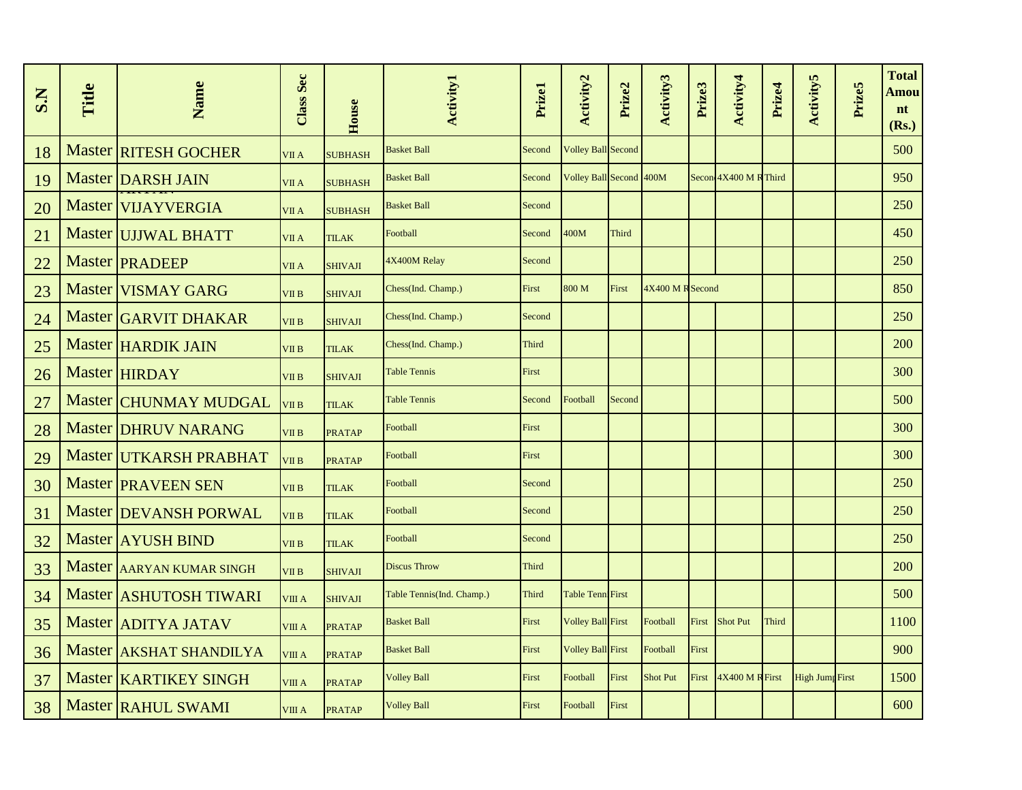| S.N | Title | Name                         | Class Sec    | House          | <b>Activity1</b>          | Prizel | Activity2                | Prize2       | Activity3        | Prize3 | Activity4             | Prize4 | <b>Activity5</b>       | Prize5 | <b>Total</b><br>Amou<br>nt<br>(Rs.) |
|-----|-------|------------------------------|--------------|----------------|---------------------------|--------|--------------------------|--------------|------------------|--------|-----------------------|--------|------------------------|--------|-------------------------------------|
| 18  |       | <b>Master RITESH GOCHER</b>  | VII A        | <b>SUBHASH</b> | <b>Basket Ball</b>        | Second | Volley Ball Second       |              |                  |        |                       |        |                        |        | 500                                 |
| 19  |       | Master DARSH JAIN            | VII A        | <b>SUBHASH</b> | <b>Basket Ball</b>        | Second | Volley Ball Second 400M  |              |                  |        | Secon 4X400 M R Third |        |                        |        | 950                                 |
| 20  |       | Master VIJAYVERGIA           | VII A        | <b>SUBHASH</b> | <b>Basket Ball</b>        | Second |                          |              |                  |        |                       |        |                        |        | 250                                 |
| 21  |       | Master UJJWAL BHATT          | VII A        | <b>TILAK</b>   | Football                  | Second | 400M                     | <b>Third</b> |                  |        |                       |        |                        |        | 450                                 |
| 22  |       | Master <b>PRADEEP</b>        | VII A        | SHIVAJI        | 4X400M Relay              | Second |                          |              |                  |        |                       |        |                        |        | 250                                 |
| 23  |       | Master VISMAY GARG           | VII B        | <b>SHIVAJI</b> | Chess(Ind. Champ.)        | First  | 800 M                    | First        | 4X400 M R Second |        |                       |        |                        |        | 850                                 |
| 24  |       | Master GARVIT DHAKAR         | VII B        | <b>SHIVAJI</b> | Chess(Ind. Champ.)        | Second |                          |              |                  |        |                       |        |                        |        | 250                                 |
| 25  |       | Master HARDIK JAIN           | VII B        | <b>TILAK</b>   | Chess(Ind. Champ.)        | Third  |                          |              |                  |        |                       |        |                        |        | <b>200</b>                          |
| 26  |       | Master HIRDAY                | VII B        | <b>SHIVAJI</b> | <b>Table Tennis</b>       | First  |                          |              |                  |        |                       |        |                        |        | 300                                 |
| 27  |       | Master CHUNMAY MUDGAL        | VII B        | <b>TILAK</b>   | <b>Table Tennis</b>       | Second | Football                 | Second       |                  |        |                       |        |                        |        | 500                                 |
| 28  |       | Master DHRUV NARANG          | VII B        | <b>PRATAP</b>  | Football                  | First  |                          |              |                  |        |                       |        |                        |        | 300                                 |
| 29  |       | Master UTKARSH PRABHAT       | VII B        | <b>PRATAP</b>  | Football                  | First  |                          |              |                  |        |                       |        |                        |        | 300                                 |
| 30  |       | <b>Master PRAVEEN SEN</b>    | VII B        | <b>TILAK</b>   | Football                  | Second |                          |              |                  |        |                       |        |                        |        | 250                                 |
| 31  |       | Master DEVANSH PORWAL        | VII B        | <b>TILAK</b>   | Football                  | Second |                          |              |                  |        |                       |        |                        |        | 250                                 |
| 32  |       | Master AYUSH BIND            | <b>VII B</b> | <b>TILAK</b>   | Football                  | Second |                          |              |                  |        |                       |        |                        |        | 250                                 |
| 33  |       | Master AARYAN KUMAR SINGH    | <b>VII B</b> | <b>SHIVAJI</b> | <b>Discus Throw</b>       | Third  |                          |              |                  |        |                       |        |                        |        | 200                                 |
| 34  |       | Master ASHUTOSH TIWARI       | VIII A       | <b>SHIVAJI</b> | Table Tennis(Ind. Champ.) | Third  | Table Tenn First         |              |                  |        |                       |        |                        |        | 500                                 |
| 35  |       | Master ADITYA JATAV          | VIII A       | <b>PRATAP</b>  | <b>Basket Ball</b>        | First  | <b>Volley Ball First</b> |              | Football         | First  | <b>Shot Put</b>       | Third  |                        |        | 1100                                |
| 36  |       | Master AKSHAT SHANDILYA      | VIII A       | <b>PRATAP</b>  | <b>Basket Ball</b>        | First  | <b>Volley Ball First</b> |              | Football         | First  |                       |        |                        |        | 900                                 |
| 37  |       | Master <b>KARTIKEY SINGH</b> | VIII A       | <b>PRATAP</b>  | <b>Volley Ball</b>        | First  | Football                 | First        | <b>Shot Put</b>  | First  | 4X400 M R First       |        | <b>High Jump First</b> |        | 1500                                |
| 38  |       | Master RAHUL SWAMI           | VIII A       | <b>PRATAP</b>  | <b>Volley Ball</b>        | First  | Football                 | First        |                  |        |                       |        |                        |        | 600                                 |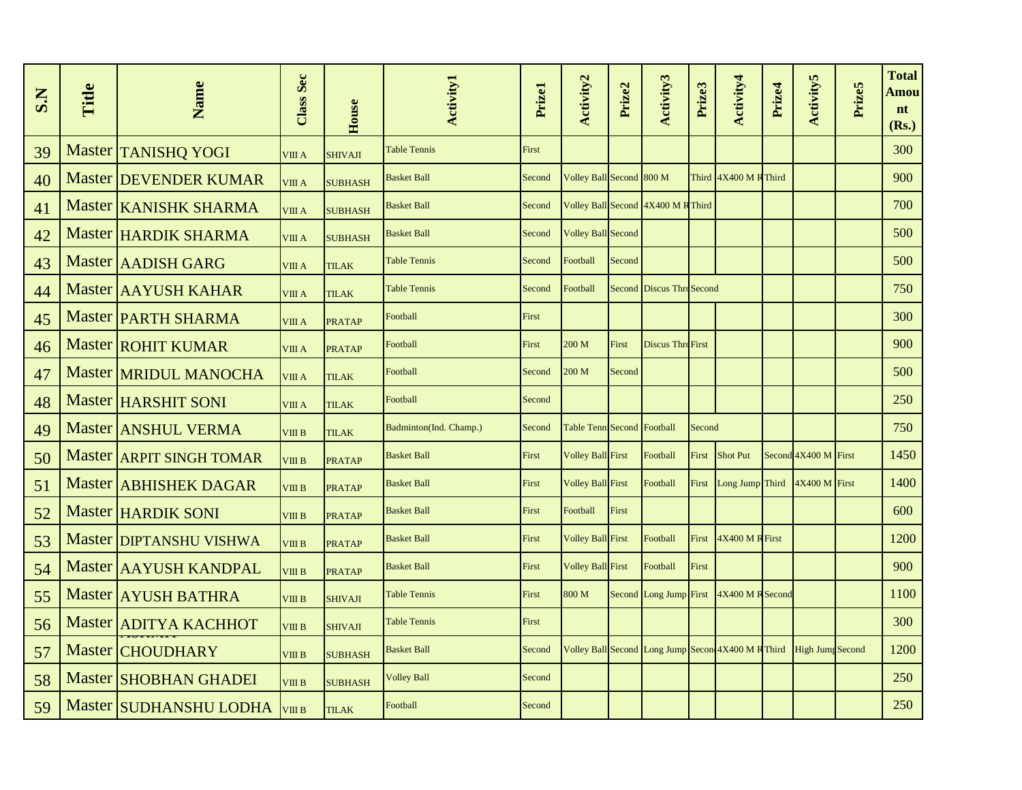| S.N | Title | Name                            | <b>Class Sec</b> | House          | <b>Activity1</b>       | Prizel | Activity2                         | Prize2 | Activity3                                          | Prize3 | Activity4             | Prize4 | <b>Activity5</b>        | Prize5 | <b>Total</b><br>Amou<br>nt<br>(Rs.) |
|-----|-------|---------------------------------|------------------|----------------|------------------------|--------|-----------------------------------|--------|----------------------------------------------------|--------|-----------------------|--------|-------------------------|--------|-------------------------------------|
| 39  |       | Master TANISHQ YOGI             | VIII A           | <b>SHIVAJI</b> | <b>Table Tennis</b>    | First  |                                   |        |                                                    |        |                       |        |                         |        | 300                                 |
| 40  |       | Master DEVENDER KUMAR           | VIII A           | <b>SUBHASH</b> | <b>Basket Ball</b>     | Second | Volley Ball Second 800 M          |        |                                                    |        | Third 4X400 M R Third |        |                         |        | 900                                 |
| 41  |       | Master <b>KANISHK SHARMA</b>    | VIII A           | <b>SUBHASH</b> | <b>Basket Ball</b>     | Second |                                   |        | Volley Ball Second 4X400 M R Third                 |        |                       |        |                         |        | 700                                 |
| 42  |       | Master HARDIK SHARMA            | VIII A           | <b>SUBHASH</b> | <b>Basket Ball</b>     | Second | Volley Ball Second                |        |                                                    |        |                       |        |                         |        | 500                                 |
| 43  |       | Master AADISH GARG              | VIII A           | <b>TILAK</b>   | <b>Table Tennis</b>    | Second | Football                          | Second |                                                    |        |                       |        |                         |        | 500                                 |
| 44  |       | Master AAYUSH KAHAR             | VIII A           | <b>TILAK</b>   | <b>Table Tennis</b>    | Second | Football                          |        | Second Discus Thre Second                          |        |                       |        |                         |        | 750                                 |
| 45  |       | <b>Master PARTH SHARMA</b>      | VIII A           | <b>PRATAP</b>  | Football               | First  |                                   |        |                                                    |        |                       |        |                         |        | 300                                 |
| 46  |       | <b>Master ROHIT KUMAR</b>       | VIII A           | <b>PRATAP</b>  | Football               | First  | 200 M                             | First  | <b>Discus Thre First</b>                           |        |                       |        |                         |        | 900                                 |
| 47  |       | Master MRIDUL MANOCHA           | VIII A           | <b>TILAK</b>   | Football               | Second | 200 M                             | Second |                                                    |        |                       |        |                         |        | 500                                 |
| 48  |       | Master HARSHIT SONI             | VIII A           | <b>TILAK</b>   | Football               | Second |                                   |        |                                                    |        |                       |        |                         |        | 250                                 |
| 49  |       | Master ANSHUL VERMA             | VIII B           | <b>TILAK</b>   | Badminton(Ind. Champ.) | Second | <b>Table Tenn Second Football</b> |        |                                                    | Second |                       |        |                         |        | 750                                 |
| 50  |       | Master <b>ARPIT SINGH TOMAR</b> | VIII B           | <b>PRATAP</b>  | <b>Basket Ball</b>     | First  | <b>Volley Ball First</b>          |        | Football                                           | First  | <b>Shot Put</b>       |        | Second 4X400 M First    |        | 1450                                |
| 51  |       | Master <b>ABHISHEK DAGAR</b>    | VIII B           | <b>PRATAP</b>  | <b>Basket Ball</b>     | First  | Volley Ball First                 |        | Football                                           | First  | Long Jump Third       |        | 4X400 M First           |        | 1400                                |
| 52  |       | <b>Master HARDIK SONI</b>       | VIII B           | <b>PRATAP</b>  | <b>Basket Ball</b>     | First  | Football                          | First  |                                                    |        |                       |        |                         |        | 600                                 |
| 53  |       | <b>Master DIPTANSHU VISHWA</b>  | VIII B           | <b>PRATAP</b>  | <b>Basket Ball</b>     | First  | <b>Volley Ball First</b>          |        | Football                                           | First  | 4X400 M R First       |        |                         |        | 1200                                |
| 54  |       | Master AAYUSH KANDPAL           | VIII B           | <b>PRATAP</b>  | <b>Basket Ball</b>     | First  | <b>Volley Ball First</b>          |        | Football                                           | First  |                       |        |                         |        | 900                                 |
| 55  |       | Master AYUSH BATHRA             | VIII B           | <b>SHIVAJI</b> | <b>Table Tennis</b>    | First  | 800 M                             |        | Second Long Jump First                             |        | 4X400 M R Second      |        |                         |        | 1100                                |
| 56  |       | Master ADITYA KACHHOT           | VIII B           | <b>SHIVAJI</b> | <b>Table Tennis</b>    | First  |                                   |        |                                                    |        |                       |        |                         |        | 300                                 |
| 57  |       | Master CHOUDHARY                | VIII B           | <b>SUBHASH</b> | <b>Basket Ball</b>     | Second |                                   |        | Volley Ball Second Long Jump Secon 4X400 M R Third |        |                       |        | <b>High Jump</b> Second |        | 1200                                |
| 58  |       | Master SHOBHAN GHADEI           | VIII B           | <b>SUBHASH</b> | <b>Volley Ball</b>     | Second |                                   |        |                                                    |        |                       |        |                         |        | 250                                 |
| 59  |       | Master SUDHANSHU LODHA          | <b>VIII B</b>    | <b>TILAK</b>   | Football               | Second |                                   |        |                                                    |        |                       |        |                         |        | 250                                 |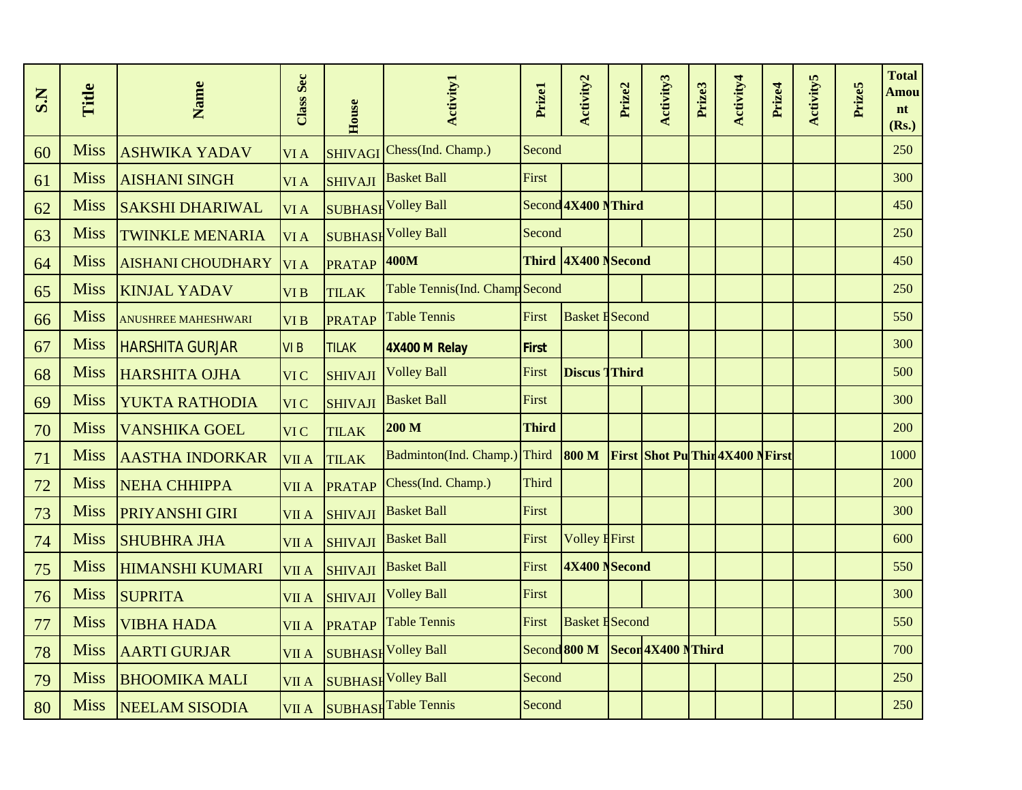| S.N | Title       | Name                       | Class Sec       | House          | <b>Activity1</b>               | Prizel       | Activity2              | Prize2 | Activity3                               | Prize3 | Activity4 | Prize4 | <b>Activity5</b> | Prize5 | <b>Total</b><br>Amou<br>nt<br>(Rs.) |
|-----|-------------|----------------------------|-----------------|----------------|--------------------------------|--------------|------------------------|--------|-----------------------------------------|--------|-----------|--------|------------------|--------|-------------------------------------|
| 60  | <b>Miss</b> | <b>ASHWIKA YADAV</b>       | VI A            | <b>SHIVAGI</b> | Chess(Ind. Champ.)             | Second       |                        |        |                                         |        |           |        |                  |        | 250                                 |
| 61  | <b>Miss</b> | <b>AISHANI SINGH</b>       | VI A            | <b>SHIVAJI</b> | <b>Basket Ball</b>             | First        |                        |        |                                         |        |           |        |                  |        | 300                                 |
| 62  | <b>Miss</b> | <b>SAKSHI DHARIWAL</b>     | VI A            |                | <b>SUBHASH Volley Ball</b>     |              | Second 4X400 NThird    |        |                                         |        |           |        |                  |        | 450                                 |
| 63  | <b>Miss</b> | <b>TWINKLE MENARIA</b>     | VI A            |                | <b>SUBHASH Volley Ball</b>     | Second       |                        |        |                                         |        |           |        |                  |        | 250                                 |
| 64  | <b>Miss</b> | <b>AISHANI CHOUDHARY</b>   | VI A            | <b>PRATAP</b>  | 400M                           | <b>Third</b> | 4X400 NSecond          |        |                                         |        |           |        |                  |        | 450                                 |
| 65  | <b>Miss</b> | <b>KINJAL YADAV</b>        | VI B            | <b>TILAK</b>   | Table Tennis(Ind. Champ Second |              |                        |        |                                         |        |           |        |                  |        | 250                                 |
| 66  | <b>Miss</b> | <b>ANUSHREE MAHESHWARI</b> | VI <sub>B</sub> | <b>PRATAP</b>  | <b>Table Tennis</b>            | First        | <b>Basket H</b> Second |        |                                         |        |           |        |                  |        | 550                                 |
| 67  | <b>Miss</b> | <b>HARSHITA GURJAR</b>     | VI <sub>B</sub> | <b>TILAK</b>   | 4X400 M Relay                  | First        |                        |        |                                         |        |           |        |                  |        | 300                                 |
| 68  | <b>Miss</b> | <b>HARSHITA OJHA</b>       | VI C            | <b>SHIVAJI</b> | <b>Volley Ball</b>             | First        | <b>Discus Third</b>    |        |                                         |        |           |        |                  |        | 500                                 |
| 69  | <b>Miss</b> | YUKTA RATHODIA             | VI C            | <b>SHIVAJI</b> | <b>Basket Ball</b>             | First        |                        |        |                                         |        |           |        |                  |        | 300                                 |
| 70  | <b>Miss</b> | <b>VANSHIKA GOEL</b>       | VI C            | <b>TILAK</b>   | 200 M                          | <b>Third</b> |                        |        |                                         |        |           |        |                  |        | 200                                 |
| 71  | <b>Miss</b> | <b>AASTHA INDORKAR</b>     | VII A           | <b>TILAK</b>   | Badminton(Ind. Champ.)         | Third        | <b>800 M</b>           |        | <b>First Shot Pu Thir 4X400 N First</b> |        |           |        |                  |        | 1000                                |
| 72  | <b>Miss</b> | <b>NEHA CHHIPPA</b>        | VII A           | <b>PRATAP</b>  | Chess(Ind. Champ.)             | Third        |                        |        |                                         |        |           |        |                  |        | 200                                 |
| 73  | <b>Miss</b> | <b>PRIYANSHI GIRI</b>      | <b>VII A</b>    | <b>SHIVAJI</b> | <b>Basket Ball</b>             | First        |                        |        |                                         |        |           |        |                  |        | 300                                 |
| 74  | <b>Miss</b> | <b>SHUBHRA JHA</b>         | <b>VII A</b>    | <b>SHIVAJI</b> | <b>Basket Ball</b>             | First        | <b>Volley EFirst</b>   |        |                                         |        |           |        |                  |        | 600                                 |
| 75  | <b>Miss</b> | <b>HIMANSHI KUMARI</b>     | VII A           | <b>SHIVAJI</b> | <b>Basket Ball</b>             | First        | 4X400 NSecond          |        |                                         |        |           |        |                  |        | 550                                 |
| 76  | <b>Miss</b> | <b>SUPRITA</b>             | VII A           | <b>SHIVAJI</b> | <b>Volley Ball</b>             | First        |                        |        |                                         |        |           |        |                  |        | 300                                 |
| 77  | <b>Miss</b> | <b>VIBHA HADA</b>          | VII A           | <b>PRATAP</b>  | <b>Table Tennis</b>            | First        | <b>Basket H</b> Second |        |                                         |        |           |        |                  |        | 550                                 |
| 78  | <b>Miss</b> | <b>AARTI GURJAR</b>        | <b>VIIA</b>     |                | <b>SUBHASH Volley Ball</b>     |              |                        |        | Second 800 M Secon 4X400 N Third        |        |           |        |                  |        | 700                                 |
| 79  | <b>Miss</b> | <b>BHOOMIKA MALI</b>       | VII A           |                | <b>SUBHASH Volley Ball</b>     | Second       |                        |        |                                         |        |           |        |                  |        | 250                                 |
| 80  | <b>Miss</b> | <b>NEELAM SISODIA</b>      |                 |                | VII A SUBHASH Table Tennis     | Second       |                        |        |                                         |        |           |        |                  |        | 250                                 |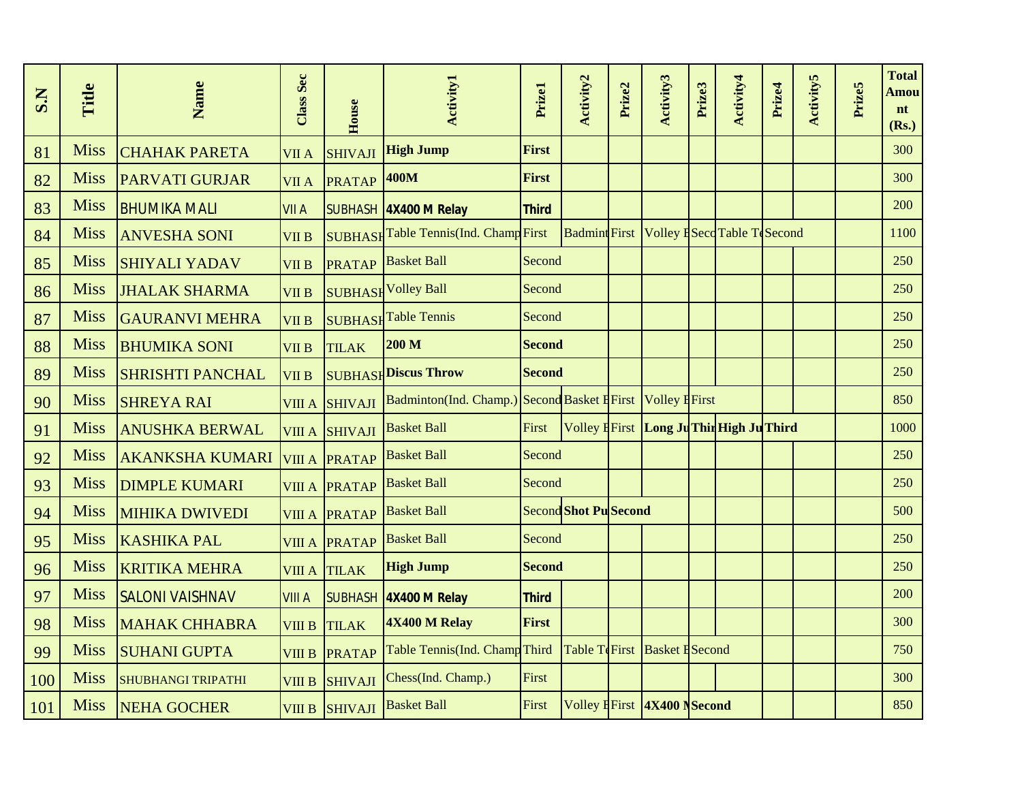| S.N | Title       | Name                      | Class Sec     | House                | <b>Activity1</b>                                          | Prizel        | Activity2                    | Prize2 | Activity3                   | Prize3 | Activity4                                  | Prize4 | <b>Activity5</b> | Prize5 | <b>Total</b><br>Amou<br>nt<br>(Rs.) |
|-----|-------------|---------------------------|---------------|----------------------|-----------------------------------------------------------|---------------|------------------------------|--------|-----------------------------|--------|--------------------------------------------|--------|------------------|--------|-------------------------------------|
| 81  | <b>Miss</b> | <b>CHAHAK PARETA</b>      | <b>VII A</b>  | <b>SHIVAJI</b>       | <b>High Jump</b>                                          | <b>First</b>  |                              |        |                             |        |                                            |        |                  |        | <b>300</b>                          |
| 82  | <b>Miss</b> | <b>PARVATI GURJAR</b>     | <b>VII A</b>  | <b>PRATAP</b>        | <b>400M</b>                                               | First         |                              |        |                             |        |                                            |        |                  |        | 300                                 |
| 83  | <b>Miss</b> | <b>BHUMIKA MALI</b>       | <b>VII A</b>  |                      | SUBHASH 4X400 M Relay                                     | <b>Third</b>  |                              |        |                             |        |                                            |        |                  |        | 200                                 |
| 84  | <b>Miss</b> | <b>ANVESHA SONI</b>       | <b>VII B</b>  |                      | SUBHASHTable Tennis(Ind. ChampFirst                       |               |                              |        |                             |        | Badmint First Volley HSecd Table To Second |        |                  |        | 1100                                |
| 85  | <b>Miss</b> | <b>SHIYALI YADAV</b>      | <b>VII B</b>  | <b>PRATAP</b>        | <b>Basket Ball</b>                                        | Second        |                              |        |                             |        |                                            |        |                  |        | 250                                 |
| 86  | <b>Miss</b> | <b>JHALAK SHARMA</b>      | <b>VII B</b>  |                      | <b>SUBHASH Volley Ball</b>                                | Second        |                              |        |                             |        |                                            |        |                  |        | 250                                 |
| 87  | <b>Miss</b> | <b>GAURANVI MEHRA</b>     | <b>VII B</b>  |                      | <b>SUBHASH</b> Table Tennis                               | Second        |                              |        |                             |        |                                            |        |                  |        | 250                                 |
| 88  | <b>Miss</b> | <b>BHUMIKA SONI</b>       | <b>VII B</b>  | <b>TILAK</b>         | 200 M                                                     | <b>Second</b> |                              |        |                             |        |                                            |        |                  |        | 250                                 |
| 89  | <b>Miss</b> | <b>SHRISHTI PANCHAL</b>   | <b>VII B</b>  |                      | <b>SUBHASH Discus Throw</b>                               | <b>Second</b> |                              |        |                             |        |                                            |        |                  |        | 250                                 |
| 90  | <b>Miss</b> | <b>SHREYA RAI</b>         |               | VIII A SHIVAJI       | Badminton(Ind. Champ.) Second Basket HFirst Volley HFirst |               |                              |        |                             |        |                                            |        |                  |        | 850                                 |
| 91  | <b>Miss</b> | <b>ANUSHKA BERWAL</b>     |               | VIII A SHIVAJI       | <b>Basket Ball</b>                                        | First         |                              |        |                             |        | Volley E First Long Ju Thin High Ju Third  |        |                  |        | 1000                                |
| 92  | <b>Miss</b> | <b>AKANKSHA KUMARI</b>    |               | VIII A PRATAP        | <b>Basket Ball</b>                                        | Second        |                              |        |                             |        |                                            |        |                  |        | 250                                 |
| 93  | <b>Miss</b> | <b>DIMPLE KUMARI</b>      |               | <b>VIII A PRATAP</b> | <b>Basket Ball</b>                                        | Second        |                              |        |                             |        |                                            |        |                  |        | 250                                 |
| 94  | <b>Miss</b> | <b>MIHIKA DWIVEDI</b>     |               | <b>VIII A PRATAP</b> | <b>Basket Ball</b>                                        |               | <b>Second Shot Pu Second</b> |        |                             |        |                                            |        |                  |        | 500                                 |
| 95  | <b>Miss</b> | <b>KASHIKA PAL</b>        |               | <b>VIII A PRATAP</b> | <b>Basket Ball</b>                                        | Second        |                              |        |                             |        |                                            |        |                  |        | 250                                 |
| 96  | <b>Miss</b> | <b>KRITIKA MEHRA</b>      |               | <b>VIII A TILAK</b>  | <b>High Jump</b>                                          | <b>Second</b> |                              |        |                             |        |                                            |        |                  |        | 250                                 |
| 97  | <b>Miss</b> | <b>SALONI VAISHNAV</b>    | <b>VIII A</b> |                      | SUBHASH 4X400 M Relay                                     | Third         |                              |        |                             |        |                                            |        |                  |        | 200                                 |
| 98  | <b>Miss</b> | <b>MAHAK CHHABRA</b>      | <b>VIII B</b> | <b>TILAK</b>         | 4X400 M Relay                                             | First         |                              |        |                             |        |                                            |        |                  |        | 300                                 |
| 99  | <b>Miss</b> | <b>SUHANI GUPTA</b>       | VIII B        | <b>PRATAP</b>        | Table Tennis(Ind. ChampThird                              |               | Table TeFirst Basket ESecond |        |                             |        |                                            |        |                  |        | 750                                 |
| 100 | <b>Miss</b> | <b>SHUBHANGI TRIPATHI</b> | <b>VIII B</b> | <b>SHIVAJI</b>       | Chess(Ind. Champ.)                                        | First         |                              |        |                             |        |                                            |        |                  |        | 300                                 |
| 101 | <b>Miss</b> | NEHA GOCHER               |               | VIII B SHIVAJI       | <b>Basket Ball</b>                                        | First         |                              |        | Volley EFirst 4X400 NSecond |        |                                            |        |                  |        | 850                                 |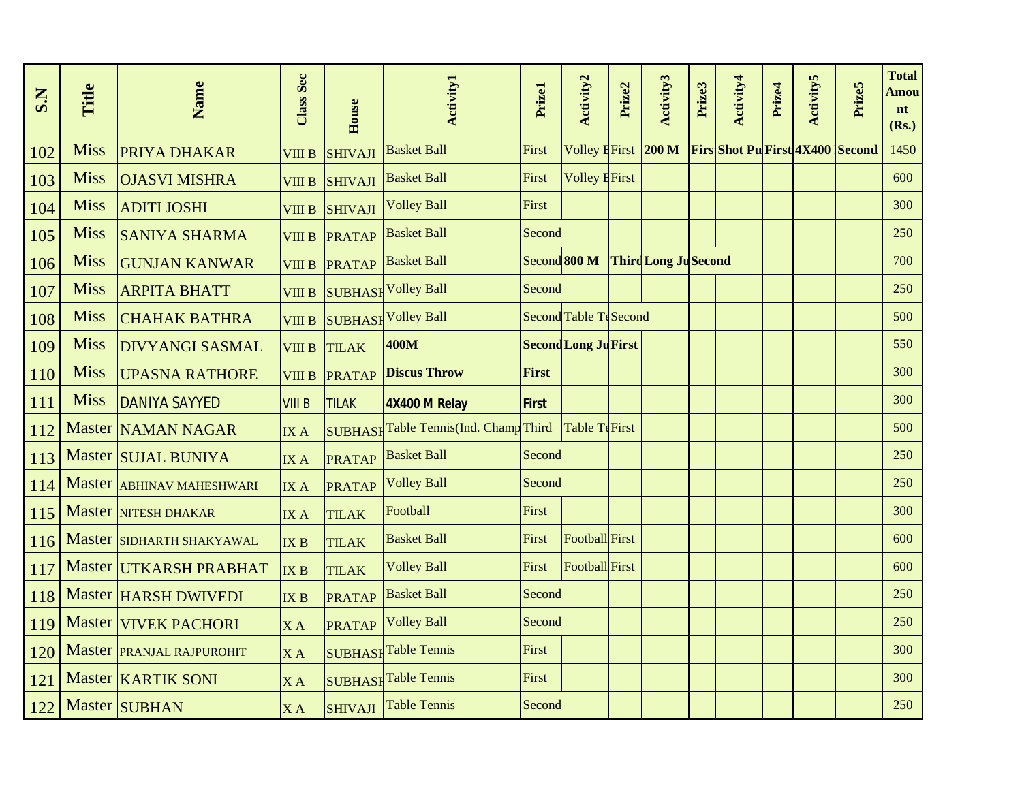| S.N | Title       | Name                      | Class Sec       | House          | <b>Activity1</b>                      | Prizel       | Activity2                   | Prize2 | Activity3                   | Prize3 | Activity4                              | Prize4 | <b>Activity5</b> | Prize5 | <b>Total</b><br>Amou<br>nt<br>(Rs.) |
|-----|-------------|---------------------------|-----------------|----------------|---------------------------------------|--------------|-----------------------------|--------|-----------------------------|--------|----------------------------------------|--------|------------------|--------|-------------------------------------|
| 102 | <b>Miss</b> | <b>PRIYA DHAKAR</b>       | <b>VIII B</b>   | <b>SHIVAJI</b> | <b>Basket Ball</b>                    | First        | <b>Volley First</b>         |        | 200 M                       |        | <b>Firs Shot Pu First 4X400 Second</b> |        |                  |        | 1450                                |
| 103 | <b>Miss</b> | <b>OJASVI MISHRA</b>      | <b>VIII B</b>   | <b>SHIVAJI</b> | <b>Basket Ball</b>                    | First        | <b>Volley First</b>         |        |                             |        |                                        |        |                  |        | 600                                 |
| 104 | <b>Miss</b> | <b>ADITI JOSHI</b>        | <b>VIII B</b>   | <b>SHIVAJI</b> | <b>Volley Ball</b>                    | First        |                             |        |                             |        |                                        |        |                  |        | 300                                 |
| 105 | <b>Miss</b> | <b>SANIYA SHARMA</b>      | <b>VIII B</b>   | <b>PRATAP</b>  | <b>Basket Ball</b>                    | Second       |                             |        |                             |        |                                        |        |                  |        | 250                                 |
| 106 | <b>Miss</b> | <b>GUNJAN KANWAR</b>      | <b>VIII B</b>   | <b>PRATAP</b>  | <b>Basket Ball</b>                    |              | Second 800 M                |        | <b>Third Long Ju Second</b> |        |                                        |        |                  |        | 700                                 |
| 107 | <b>Miss</b> | <b>ARPITA BHATT</b>       | <b>VIII B</b>   |                | <b>SUBHASH Volley Ball</b>            | Second       |                             |        |                             |        |                                        |        |                  |        | 250                                 |
| 108 | <b>Miss</b> | <b>CHAHAK BATHRA</b>      | <b>VIII B</b>   |                | <b>SUBHASH Volley Ball</b>            |              | Second Table TeSecond       |        |                             |        |                                        |        |                  |        | 500                                 |
| 109 | <b>Miss</b> | <b>DIVYANGI SASMAL</b>    | <b>VIII B</b>   | <b>TILAK</b>   | 400M                                  |              | <b>Second Long Ju First</b> |        |                             |        |                                        |        |                  |        | 550                                 |
| 110 | <b>Miss</b> | <b>UPASNA RATHORE</b>     | <b>VIII B</b>   | <b>PRATAP</b>  | <b>Discus Throw</b>                   | First        |                             |        |                             |        |                                        |        |                  |        | 300                                 |
| 111 | <b>Miss</b> | <b>DANIYA SAYYED</b>      | <b>VIII B</b>   | <b>TILAK</b>   | 4X400 M Relay                         | <b>First</b> |                             |        |                             |        |                                        |        |                  |        | 300                                 |
| 112 |             | Master NAMAN NAGAR        | IX A            |                | SUBHASH Table Tennis(Ind. Champ Third |              | Table TeFirst               |        |                             |        |                                        |        |                  |        | 500                                 |
| 113 |             | Master SUJAL BUNIYA       | IXA             | <b>PRATAP</b>  | <b>Basket Ball</b>                    | Second       |                             |        |                             |        |                                        |        |                  |        | 250                                 |
| 114 |             | Master ABHINAV MAHESHWARI | IX A            | <b>PRATAP</b>  | <b>Volley Ball</b>                    | Second       |                             |        |                             |        |                                        |        |                  |        | 250                                 |
| 115 |             | Master NITESH DHAKAR      | <b>IXA</b>      | <b>TILAK</b>   | Football                              | First        |                             |        |                             |        |                                        |        |                  |        | 300                                 |
| 116 |             | Master SIDHARTH SHAKYAWAL | IX B            | <b>TILAK</b>   | <b>Basket Ball</b>                    | First        | Football First              |        |                             |        |                                        |        |                  |        | 600                                 |
| 117 |             | Master UTKARSH PRABHAT    | IX B            | <b>TILAK</b>   | <b>Volley Ball</b>                    | First        | <b>Football</b> First       |        |                             |        |                                        |        |                  |        | 600                                 |
| 118 |             | Master  HARSH DWIVEDI     | IX <sub>B</sub> | <b>PRATAP</b>  | <b>Basket Ball</b>                    | Second       |                             |        |                             |        |                                        |        |                  |        | 250                                 |
| 119 |             | Master VIVEK PACHORI      | XA              | <b>PRATAP</b>  | <b>Volley Ball</b>                    | Second       |                             |        |                             |        |                                        |        |                  |        | 250                                 |
| 120 |             | Master PRANJAL RAJPUROHIT | XA              |                | <b>SUBHASH</b> Table Tennis           | First        |                             |        |                             |        |                                        |        |                  |        | 300                                 |
| 121 |             | Master <b>KARTIK SONI</b> | XA              |                | <b>SUBHASH Table Tennis</b>           | First        |                             |        |                             |        |                                        |        |                  |        | 300                                 |
| 122 |             | Master SUBHAN             | XA              | <b>SHIVAJI</b> | <b>Table Tennis</b>                   | Second       |                             |        |                             |        |                                        |        |                  |        | 250                                 |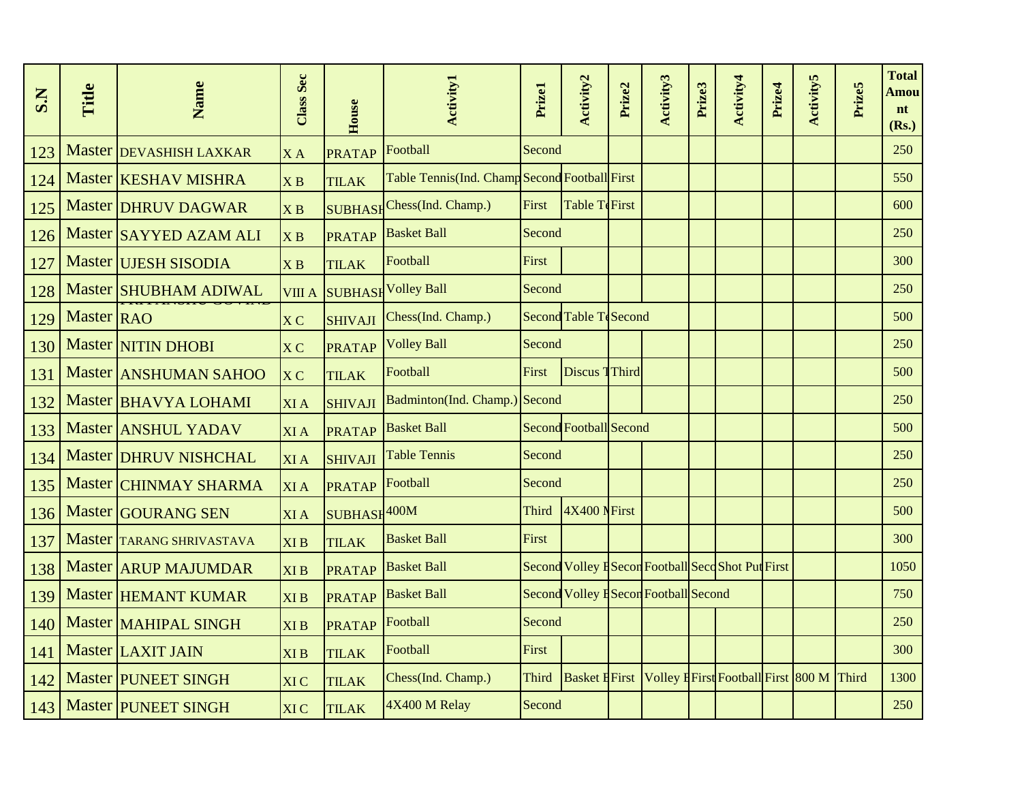| S.N | Title      | Name                        | Class Sec                     | House          | <b>Activity1</b>                              | Prizel       | Activity <sub>2</sub>  | Prize2 | Activity3                            | Prize3 | Activity4                                              | Prize4 | <b>Activity5</b> | Prize5 | <b>Total</b><br>Amou<br>nt<br>(Rs.) |
|-----|------------|-----------------------------|-------------------------------|----------------|-----------------------------------------------|--------------|------------------------|--------|--------------------------------------|--------|--------------------------------------------------------|--------|------------------|--------|-------------------------------------|
| 123 |            | Master DEVASHISH LAXKAR     | XA                            | <b>PRATAP</b>  | Football                                      | Second       |                        |        |                                      |        |                                                        |        |                  |        | 250                                 |
| 124 |            | Master <b>KESHAV MISHRA</b> | X B                           | <b>TILAK</b>   | Table Tennis(Ind. Champ Second Football First |              |                        |        |                                      |        |                                                        |        |                  |        | 550                                 |
| 125 |            | <b>Master DHRUV DAGWAR</b>  | $\overline{X}$ B              |                | SUBHASH Chess(Ind. Champ.)                    | First        | Table TeFirst          |        |                                      |        |                                                        |        |                  |        | 600                                 |
| 126 |            | Master SAYYED AZAM ALI      | $\overline{X}$ $\overline{B}$ | <b>PRATAP</b>  | <b>Basket Ball</b>                            | Second       |                        |        |                                      |        |                                                        |        |                  |        | 250                                 |
| 127 |            | Master UJESH SISODIA        | X B                           | <b>TILAK</b>   | Football                                      | First        |                        |        |                                      |        |                                                        |        |                  |        | 300                                 |
| 128 |            | Master SHUBHAM ADIWAL       | VIII A                        |                | SUBHASH Volley Ball                           | Second       |                        |        |                                      |        |                                                        |        |                  |        | 250                                 |
| 129 | Master RAO |                             | X <sub>C</sub>                | <b>SHIVAJI</b> | Chess(Ind. Champ.)                            |              | Second Table TeSecond  |        |                                      |        |                                                        |        |                  |        | 500                                 |
| 130 |            | <b>Master NITIN DHOBI</b>   | X <sub>C</sub>                | <b>PRATAP</b>  | <b>Volley Ball</b>                            | Second       |                        |        |                                      |        |                                                        |        |                  |        | 250                                 |
| 131 |            | Master ANSHUMAN SAHOO       | X <sub>C</sub>                | <b>TILAK</b>   | Football                                      | First        | Discus Third           |        |                                      |        |                                                        |        |                  |        | 500                                 |
| 132 |            | Master BHAVYA LOHAMI        | <b>XIA</b>                    | <b>SHIVAJI</b> | Badminton(Ind. Champ.) Second                 |              |                        |        |                                      |        |                                                        |        |                  |        | 250                                 |
| 133 |            | Master ANSHUL YADAV         | <b>XIA</b>                    | <b>PRATAP</b>  | <b>Basket Ball</b>                            |              | Second Football Second |        |                                      |        |                                                        |        |                  |        | 500                                 |
| 134 |            | Master DHRUV NISHCHAL       | <b>XIA</b>                    | <b>SHIVAJI</b> | <b>Table Tennis</b>                           | Second       |                        |        |                                      |        |                                                        |        |                  |        | 250                                 |
| 135 |            | Master CHINMAY SHARMA       | <b>XIA</b>                    | <b>PRATAP</b>  | Football                                      | Second       |                        |        |                                      |        |                                                        |        |                  |        | 250                                 |
| 136 |            | Master GOURANG SEN          | <b>XIA</b>                    | SUBHASH400M    |                                               | <b>Third</b> | 4X400 NFirst           |        |                                      |        |                                                        |        |                  |        | 500                                 |
| 137 |            | Master TARANG SHRIVASTAVA   | <b>XIB</b>                    | <b>TILAK</b>   | <b>Basket Ball</b>                            | First        |                        |        |                                      |        |                                                        |        |                  |        | 300                                 |
| 138 |            | Master <b>ARUP</b> MAJUMDAR | <b>XIB</b>                    | <b>PRATAP</b>  | <b>Basket Ball</b>                            |              |                        |        |                                      |        | Second Volley HSecon Football Seco Shot Put First      |        |                  |        | 1050                                |
| 139 |            | Master HEMANT KUMAR         | <b>XIB</b>                    | <b>PRATAP</b>  | <b>Basket Ball</b>                            |              |                        |        | Second Volley ESecon Football Second |        |                                                        |        |                  |        | 750                                 |
| 140 |            | Master MAHIPAL SINGH        | <b>XIB</b>                    | <b>PRATAP</b>  | Football                                      | Second       |                        |        |                                      |        |                                                        |        |                  |        | 250                                 |
| 141 |            | Master LAXIT JAIN           | <b>XIB</b>                    | <b>TILAK</b>   | Football                                      | First        |                        |        |                                      |        |                                                        |        |                  |        | 300                                 |
| 142 |            | <b>Master PUNEET SINGH</b>  | <b>XIC</b>                    | <b>TILAK</b>   | Chess(Ind. Champ.)                            | <b>Third</b> |                        |        |                                      |        | Basket EFirst Volley EFirst Football First 800 M Third |        |                  |        | 1300                                |
| 143 |            | Master PUNEET SINGH         | <b>XIC</b>                    | <b>TILAK</b>   | 4X400 M Relay                                 | Second       |                        |        |                                      |        |                                                        |        |                  |        | 250                                 |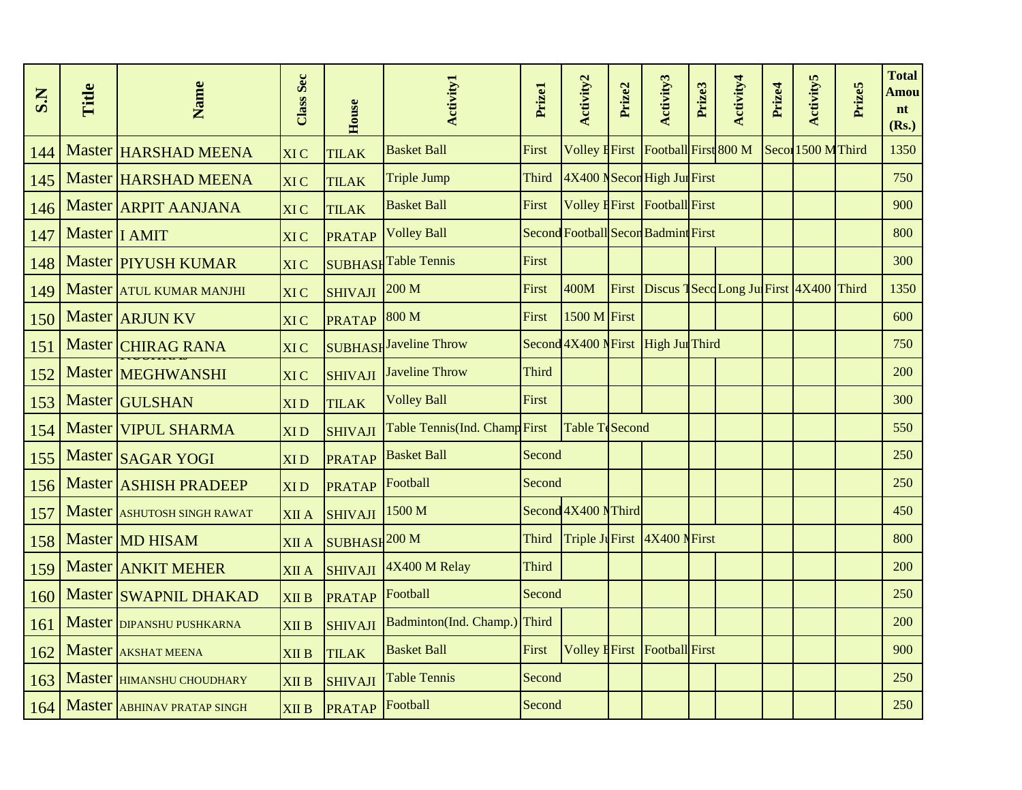| S.N | Title           | Name                         | Class Sec       | House                    | <b>Activity1</b>              | Prizel       | Activity2           | Prize2 | Activity3                                    | Prize3 | Activity4 | Prize4 | <b>Activity5</b>   | Prize5 | <b>Total</b><br><b>Amou</b><br>nt<br>(Rs.) |
|-----|-----------------|------------------------------|-----------------|--------------------------|-------------------------------|--------------|---------------------|--------|----------------------------------------------|--------|-----------|--------|--------------------|--------|--------------------------------------------|
| 144 |                 | Master HARSHAD MEENA         | <b>XIC</b>      | <b>TILAK</b>             | <b>Basket Ball</b>            | First        |                     |        | Volley EFirst Football First 800 M           |        |           |        | Secol 1500 M Third |        | 1350                                       |
| 145 |                 | Master HARSHAD MEENA         | <b>XIC</b>      | <b>TILAK</b>             | <b>Triple Jump</b>            | Third        |                     |        | 4X400 NSecon High Jun First                  |        |           |        |                    |        | 750                                        |
| 146 |                 | Master <b>ARPIT AANJANA</b>  | <b>XIC</b>      | <b>TILAK</b>             | <b>Basket Ball</b>            | First        |                     |        | Volley H <sub>First</sub> Football First     |        |           |        |                    |        | 900                                        |
| 147 | Master   I AMIT |                              | <b>XIC</b>      | <b>PRATAP</b>            | <b>Volley Ball</b>            |              |                     |        | Second Football Secon Badmint First          |        |           |        |                    |        | 800                                        |
| 148 |                 | <b>Master PIYUSH KUMAR</b>   | XI C            |                          | <b>SUBHASH</b> Table Tennis   | First        |                     |        |                                              |        |           |        |                    |        | 300                                        |
| 149 |                 | Master ATUL KUMAR MANJHI     | <b>XIC</b>      | <b>SHIVAJI</b>           | 200 M                         | First        | 400M                |        | First Discus 1SecoLong Jul First 4X400 Third |        |           |        |                    |        | 1350                                       |
| 150 |                 | Master <b>ARJUN KV</b>       | <b>XIC</b>      | <b>PRATAP</b>            | 800 M                         | First        | 1500 M First        |        |                                              |        |           |        |                    |        | 600                                        |
| 151 |                 | Master CHIRAG RANA           | <b>XIC</b>      |                          | <b>SUBHASH</b> Javeline Throw |              |                     |        | Second 4X400 NFirst High Jul Third           |        |           |        |                    |        | 750                                        |
| 152 |                 | Master MEGHWANSHI            | <b>XIC</b>      | <b>SHIVAJI</b>           | <b>Javeline Throw</b>         | <b>Third</b> |                     |        |                                              |        |           |        |                    |        | 200                                        |
| 153 |                 | Master GULSHAN               | <b>XID</b>      | <b>TILAK</b>             | <b>Volley Ball</b>            | First        |                     |        |                                              |        |           |        |                    |        | 300                                        |
| 154 |                 | Master VIPUL SHARMA          | <b>XID</b>      | <b>SHIVAJI</b>           | Table Tennis(Ind. Champ First |              | Table TeSecond      |        |                                              |        |           |        |                    |        | 550                                        |
| 155 |                 | Master SAGAR YOGI            | XI <sub>D</sub> | <b>PRATAP</b>            | <b>Basket Ball</b>            | Second       |                     |        |                                              |        |           |        |                    |        | 250                                        |
| 156 |                 | Master <b>ASHISH PRADEEP</b> | <b>XID</b>      | <b>PRATAP</b>            | Football                      | Second       |                     |        |                                              |        |           |        |                    |        | 250                                        |
| 157 |                 | Master ASHUTOSH SINGH RAWAT  | <b>XII</b> A    | <b>SHIVAJI</b>           | 1500 M                        |              | Second 4X400 NThird |        |                                              |        |           |        |                    |        | 450                                        |
| 158 |                 | Master MD HISAM              | <b>XII A</b>    | SUBHASH <sup>200</sup> M |                               | Third        |                     |        | Triple Ju First 4X400 N First                |        |           |        |                    |        | 800                                        |
| 159 |                 | Master ANKIT MEHER           | <b>XII</b> A    | <b>SHIVAJI</b>           | 4X400 M Relay                 | <b>Third</b> |                     |        |                                              |        |           |        |                    |        | 200                                        |
| 160 |                 | Master SWAPNIL DHAKAD        | <b>XII B</b>    | <b>PRATAP</b>            | Football                      | Second       |                     |        |                                              |        |           |        |                    |        | 250                                        |
| 161 |                 | Master DIPANSHU PUSHKARNA    | <b>XII B</b>    | <b>SHIVAJI</b>           | Badminton(Ind. Champ.)        | Third        |                     |        |                                              |        |           |        |                    |        | 200                                        |
| 162 |                 | Master AKSHAT MEENA          | <b>XII B</b>    | <b>TILAK</b>             | <b>Basket Ball</b>            | First        |                     |        | Volley EFirst Football First                 |        |           |        |                    |        | 900                                        |
| 163 |                 | Master HIMANSHU CHOUDHARY    | <b>XII B</b>    | <b>SHIVAJI</b>           | <b>Table Tennis</b>           | Second       |                     |        |                                              |        |           |        |                    |        | 250                                        |
| 164 |                 | Master ABHINAV PRATAP SINGH  | <b>XII B</b>    | <b>PRATAP</b>            | Football                      | Second       |                     |        |                                              |        |           |        |                    |        | 250                                        |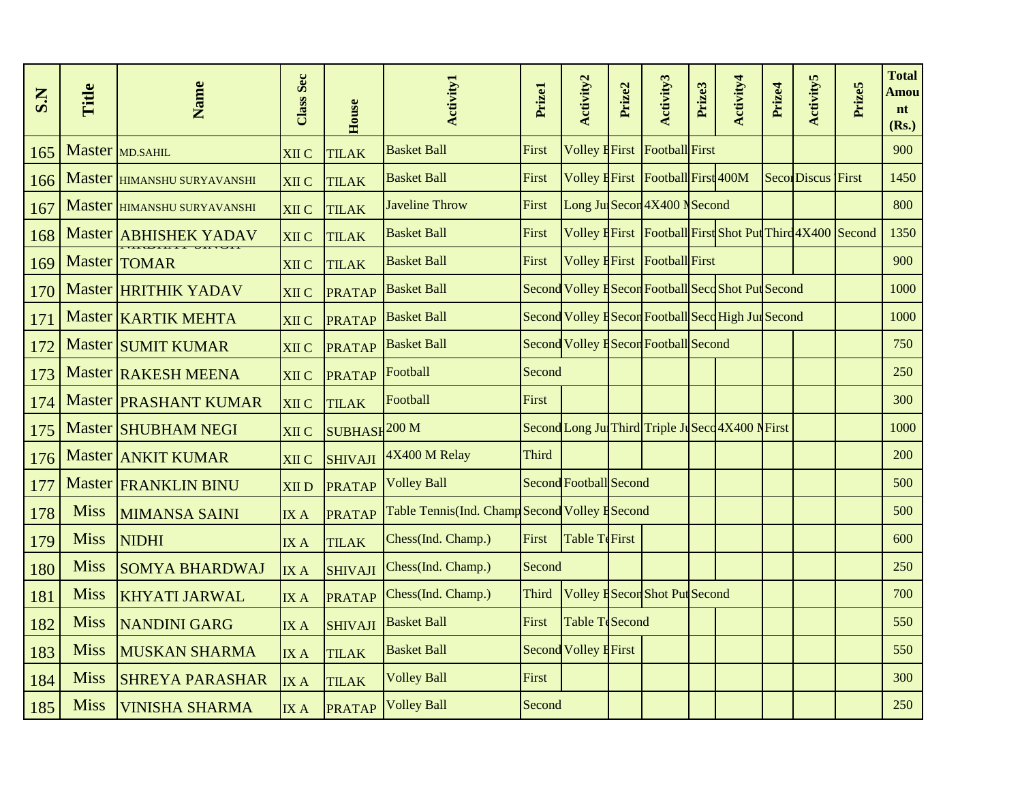| S.N | Title       | Name                         | <b>Class Sec</b> | House                    | <b>Activity1</b>                               | Prizel | Activity2                    | Prize2 | Activity3                              | Prize3 | Activity4                                                | Prize4 | <b>Activity5</b>          | Prize5 | <b>Total</b><br><b>Amou</b><br>nt<br>(Rs.) |
|-----|-------------|------------------------------|------------------|--------------------------|------------------------------------------------|--------|------------------------------|--------|----------------------------------------|--------|----------------------------------------------------------|--------|---------------------------|--------|--------------------------------------------|
| 165 |             | Master MD.SAHIL              | <b>XII C</b>     | <b>TILAK</b>             | <b>Basket Ball</b>                             | First  |                              |        | <b>Volley EFirst Football First</b>    |        |                                                          |        |                           |        | 900                                        |
| 166 |             | Master HIMANSHU SURYAVANSHI  | <b>XII C</b>     | <b>TILAK</b>             | <b>Basket Ball</b>                             | First  |                              |        | Volley EFirst Football First 400M      |        |                                                          |        | <b>Secol</b> Discus First |        | 1450                                       |
| 167 |             | Master HIMANSHU SURYAVANSHI  | <b>XII C</b>     | <b>TILAK</b>             | <b>Javeline Throw</b>                          | First  |                              |        | Long Jul Secon 4X400 N Second          |        |                                                          |        |                           |        | 800                                        |
| 168 |             | Master ABHISHEK YADAV        | <b>XII C</b>     | <b>TILAK</b>             | <b>Basket Ball</b>                             | First  |                              |        |                                        |        | Volley EFirst Football First Shot Put Third 4X400 Second |        |                           |        | 1350                                       |
| 169 |             | <b>Master TOMAR</b>          | XII C            | <b>TILAK</b>             | <b>Basket Ball</b>                             | First  |                              |        | Volley <b>H</b> First   Football First |        |                                                          |        |                           |        | 900                                        |
| 170 |             | Master HRITHIK YADAV         | XII C            | <b>PRATAP</b>            | <b>Basket Ball</b>                             |        |                              |        |                                        |        | Second Volley ESecon Football Seco Shot Put Second       |        |                           |        | 1000                                       |
| 171 |             | Master   KARTIK MEHTA        | <b>XII C</b>     | <b>PRATAP</b>            | <b>Basket Ball</b>                             |        |                              |        |                                        |        | Second Volley ESecon Football Seco High Jul Second       |        |                           |        | 1000                                       |
| 172 |             | Master SUMIT KUMAR           | <b>XII C</b>     | <b>PRATAP</b>            | <b>Basket Ball</b>                             |        |                              |        | Second Volley ESecon Football Second   |        |                                                          |        |                           |        | 750                                        |
| 173 |             | Master RAKESH MEENA          | <b>XII C</b>     | <b>PRATAP</b>            | Football                                       | Second |                              |        |                                        |        |                                                          |        |                           |        | 250                                        |
| 174 |             | Master <b>PRASHANT KUMAR</b> | <b>XII C</b>     | <b>TILAK</b>             | Football                                       | First  |                              |        |                                        |        |                                                          |        |                           |        | <b>300</b>                                 |
| 175 |             | Master SHUBHAM NEGI          | XII C            | SUBHASH <sup>200</sup> M |                                                |        |                              |        |                                        |        | Second Long Jul Third Triple Juseco 4X400 NFirst         |        |                           |        | 1000                                       |
| 176 |             | Master ANKIT KUMAR           | <b>XII C</b>     | <b>SHIVAJI</b>           | $4X400$ M Relay                                | Third  |                              |        |                                        |        |                                                          |        |                           |        | 200                                        |
| 177 |             | <b>Master FRANKLIN BINU</b>  | <b>XIID</b>      | <b>PRATAP</b>            | <b>Volley Ball</b>                             |        | Second Football Second       |        |                                        |        |                                                          |        |                           |        | 500                                        |
| 178 | <b>Miss</b> | <b>MIMANSA SAINI</b>         | IX A             | <b>PRATAP</b>            | Table Tennis(Ind. Champ Second Volley H Second |        |                              |        |                                        |        |                                                          |        |                           |        | 500                                        |
| 179 | <b>Miss</b> | <b>NIDHI</b>                 | <b>IXA</b>       | <b>TILAK</b>             | Chess(Ind. Champ.)                             | First  | Table TeFirst                |        |                                        |        |                                                          |        |                           |        | 600                                        |
| 180 | <b>Miss</b> | <b>SOMYA BHARDWAJ</b>        | <b>IXA</b>       | <b>SHIVAJI</b>           | Chess(Ind. Champ.)                             | Second |                              |        |                                        |        |                                                          |        |                           |        | 250                                        |
| 181 | <b>Miss</b> | <b>KHYATI JARWAL</b>         | <b>IXA</b>       | <b>PRATAP</b>            | Chess(Ind. Champ.)                             | Third  |                              |        | Volley ESecon Shot Put Second          |        |                                                          |        |                           |        | 700                                        |
| 182 | <b>Miss</b> | <b>NANDINI GARG</b>          | IX A             | <b>SHIVAJI</b>           | <b>Basket Ball</b>                             | First  | Table TeSecond               |        |                                        |        |                                                          |        |                           |        | 550                                        |
| 183 | <b>Miss</b> | <b>MUSKAN SHARMA</b>         | IX A             | <b>TILAK</b>             | <b>Basket Ball</b>                             |        | <b>Second Volley E First</b> |        |                                        |        |                                                          |        |                           |        | 550                                        |
| 184 | <b>Miss</b> | <b>SHREYA PARASHAR</b>       | <b>IXA</b>       | <b>TILAK</b>             | <b>Volley Ball</b>                             | First  |                              |        |                                        |        |                                                          |        |                           |        | 300                                        |
| 185 | <b>Miss</b> | <b>VINISHA SHARMA</b>        | IX A             | <b>PRATAP</b>            | <b>Volley Ball</b>                             | Second |                              |        |                                        |        |                                                          |        |                           |        | 250                                        |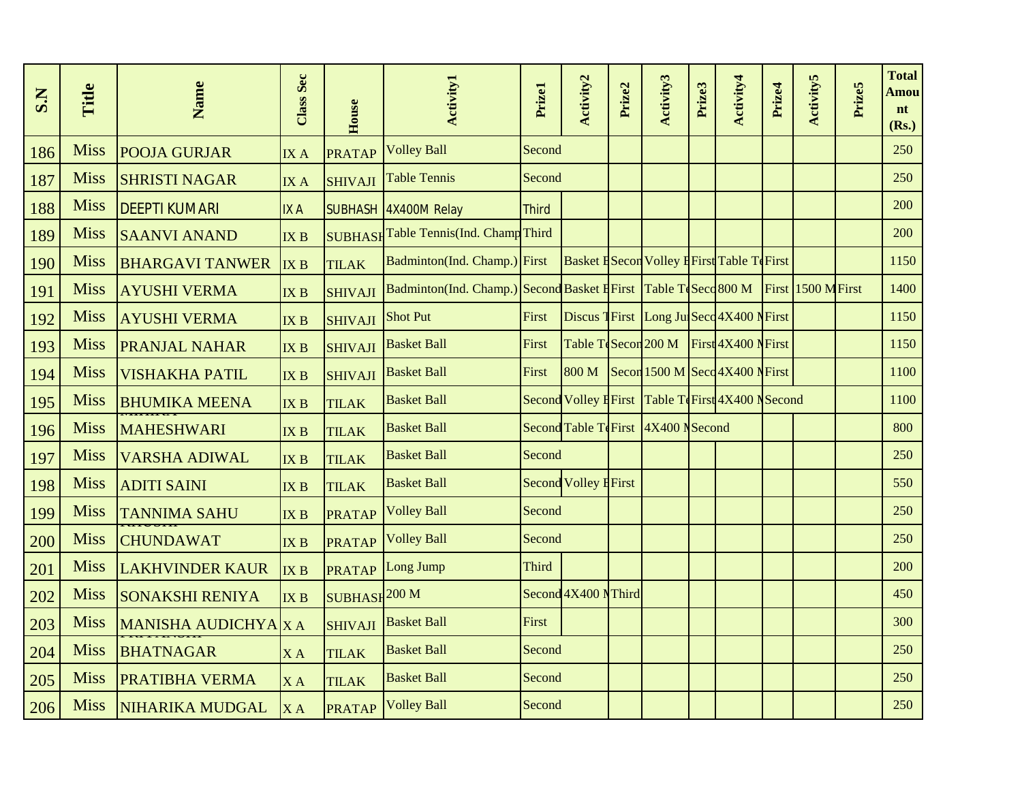| S.N | Title       | Name                   | Class Sec       | House                    | <b>Activity1</b>                                                                    | Prizel       | Activity2                    | Prize2 | Activity3                                           | Prize3 | Activity4 | Prize4 | <b>Activity5</b> | Prize5 | <b>Total</b><br>Amou<br>nt<br>(Rs.) |
|-----|-------------|------------------------|-----------------|--------------------------|-------------------------------------------------------------------------------------|--------------|------------------------------|--------|-----------------------------------------------------|--------|-----------|--------|------------------|--------|-------------------------------------|
| 186 | <b>Miss</b> | <b>POOJA GURJAR</b>    | IX A            | <b>PRATAP</b>            | <b>Volley Ball</b>                                                                  | Second       |                              |        |                                                     |        |           |        |                  |        | 250                                 |
| 187 | <b>Miss</b> | <b>SHRISTI NAGAR</b>   | IXA             | <b>SHIVAJI</b>           | <b>Table Tennis</b>                                                                 | Second       |                              |        |                                                     |        |           |        |                  |        | 250                                 |
| 188 | <b>Miss</b> | <b>DEEPTI KUMARI</b>   | <b>IXA</b>      |                          | SUBHASH 4X400M Relay                                                                | <b>Third</b> |                              |        |                                                     |        |           |        |                  |        | 200                                 |
| 189 | <b>Miss</b> | <b>SAANVI ANAND</b>    | IX B            |                          | SUBHASHTable Tennis(Ind. ChampThird                                                 |              |                              |        |                                                     |        |           |        |                  |        | 200                                 |
| 190 | <b>Miss</b> | <b>BHARGAVI TANWER</b> | IX B            | <b>TILAK</b>             | Badminton(Ind. Champ.) First                                                        |              |                              |        | <b>Basket H</b> Secon Volley H First Table Te First |        |           |        |                  |        | 1150                                |
| 191 | <b>Miss</b> | <b>AYUSHI VERMA</b>    | IX <sub>B</sub> | <b>SHIVAJI</b>           | Badminton(Ind. Champ.) Second Basket E First Table To Seco 800 M First 1500 M First |              |                              |        |                                                     |        |           |        |                  |        | 1400                                |
| 192 | <b>Miss</b> | <b>AYUSHI VERMA</b>    | IX <sub>B</sub> | <b>SHIVAJI</b>           | <b>Shot Put</b>                                                                     | First        |                              |        | Discus TFirst Long Jul Seco 4X400 NFirst            |        |           |        |                  |        | 1150                                |
| 193 | <b>Miss</b> | <b>PRANJAL NAHAR</b>   | IX B            | <b>SHIVAJI</b>           | <b>Basket Ball</b>                                                                  | First        |                              |        | Table TeSecon 200 M First 4X400 NFirst              |        |           |        |                  |        | 1150                                |
| 194 | <b>Miss</b> | <b>VISHAKHA PATIL</b>  | IX B            | <b>SHIVAJI</b>           | <b>Basket Ball</b>                                                                  | First        | 800 M                        |        | Secon 1500 M Sec $\frac{4X400 \text{ N}}{1}$        |        |           |        |                  |        | 1100                                |
| 195 | <b>Miss</b> | <b>BHUMIKA MEENA</b>   | <b>IXB</b>      | <b>TILAK</b>             | <b>Basket Ball</b>                                                                  |              |                              |        | Second Volley HFirst Table TeFirst 4X400 N Second   |        |           |        |                  |        | 1100                                |
| 196 | <b>Miss</b> | <b>MAHESHWARI</b>      | IX B            | <b>TILAK</b>             | <b>Basket Ball</b>                                                                  |              |                              |        | Second Table TeFirst 4X400 N Second                 |        |           |        |                  |        | 800                                 |
| 197 | <b>Miss</b> | <b>VARSHA ADIWAL</b>   | IX <sub>B</sub> | <b>TILAK</b>             | <b>Basket Ball</b>                                                                  | Second       |                              |        |                                                     |        |           |        |                  |        | 250                                 |
| 198 | <b>Miss</b> | <b>ADITI SAINI</b>     | IX <sub>B</sub> | <b>TILAK</b>             | <b>Basket Ball</b>                                                                  |              | <b>Second Volley H</b> First |        |                                                     |        |           |        |                  |        | 550                                 |
| 199 | <b>Miss</b> | <b>TANNIMA SAHU</b>    | IX B            | <b>PRATAP</b>            | <b>Volley Ball</b>                                                                  | Second       |                              |        |                                                     |        |           |        |                  |        | 250                                 |
| 200 | <b>Miss</b> | <b>CHUNDAWAT</b>       | IX B            | <b>PRATAP</b>            | <b>Volley Ball</b>                                                                  | Second       |                              |        |                                                     |        |           |        |                  |        | 250                                 |
| 201 | <b>Miss</b> | <b>LAKHVINDER KAUR</b> | IX B            | <b>PRATAP</b>            | Long Jump                                                                           | <b>Third</b> |                              |        |                                                     |        |           |        |                  |        | 200                                 |
| 202 | <b>Miss</b> | <b>SONAKSHI RENIYA</b> | IX B            | SUBHASH <sup>200</sup> M |                                                                                     |              | Second 4X400 NThird          |        |                                                     |        |           |        |                  |        | 450                                 |
| 203 | <b>Miss</b> | MANISHA AUDICHYA X A   |                 | <b>SHIVAJI</b>           | <b>Basket Ball</b>                                                                  | First        |                              |        |                                                     |        |           |        |                  |        | 300                                 |
| 204 | <b>Miss</b> | <b>BHATNAGAR</b>       | XA              | <b>TILAK</b>             | <b>Basket Ball</b>                                                                  | Second       |                              |        |                                                     |        |           |        |                  |        | 250                                 |
| 205 | <b>Miss</b> | <b>PRATIBHA VERMA</b>  | XA              | <b>TILAK</b>             | <b>Basket Ball</b>                                                                  | Second       |                              |        |                                                     |        |           |        |                  |        | 250                                 |
| 206 | <b>Miss</b> | NIHARIKA MUDGAL        | <b>XA</b>       | <b>PRATAP</b>            | <b>Volley Ball</b>                                                                  | Second       |                              |        |                                                     |        |           |        |                  |        | 250                                 |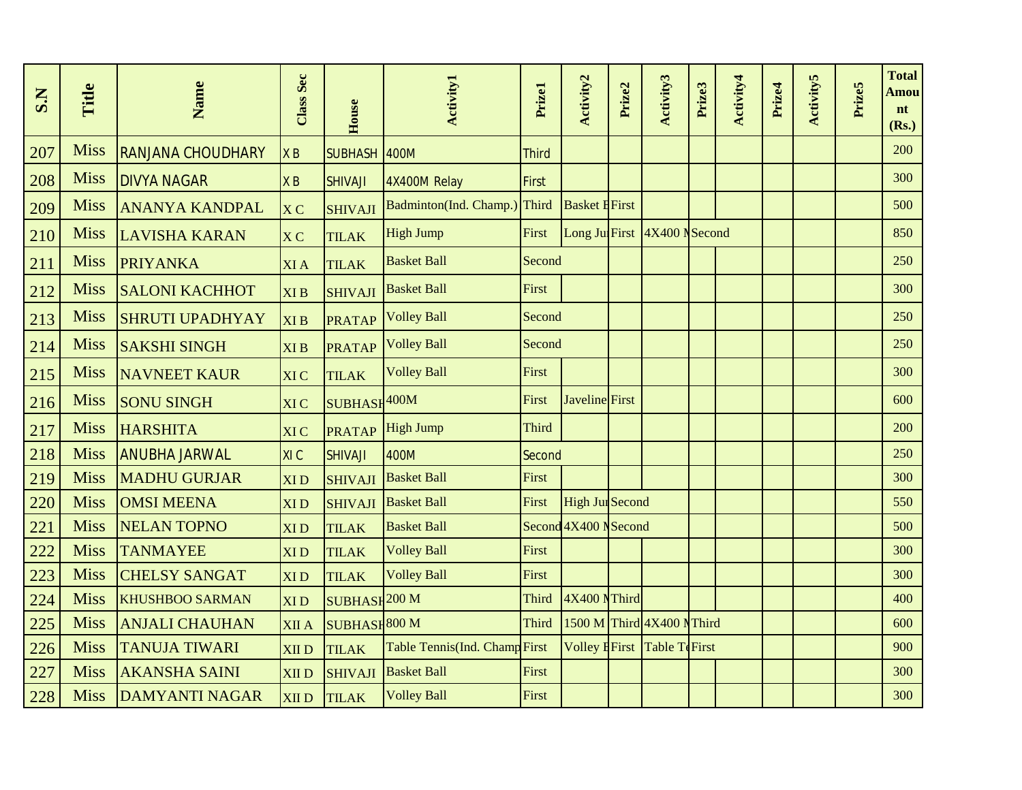| S.N | Title       | Name                     | <b>Class Sec</b> | House                    | <b>Activity1</b>              | Prizel       | Activity2              | Prize2 | Activity3                     | Prize3 | Activity4 | Prize4 | <b>Activity5</b> | Prize5 | <b>Total</b><br>Amou<br>nt<br>(Rs.) |
|-----|-------------|--------------------------|------------------|--------------------------|-------------------------------|--------------|------------------------|--------|-------------------------------|--------|-----------|--------|------------------|--------|-------------------------------------|
| 207 | <b>Miss</b> | <b>RANJANA CHOUDHARY</b> | X B              | SUBHASH 400M             |                               | <b>Third</b> |                        |        |                               |        |           |        |                  |        | 200                                 |
| 208 | <b>Miss</b> | <b>DIVYA NAGAR</b>       | X B              | <b>SHIVAJI</b>           | 4X400M Relay                  | First        |                        |        |                               |        |           |        |                  |        | 300                                 |
| 209 | <b>Miss</b> | <b>ANANYA KANDPAL</b>    | <b>XC</b>        | <b>SHIVAJI</b>           | Badminton(Ind. Champ.)        | Third        | <b>Basket EFirst</b>   |        |                               |        |           |        |                  |        | 500                                 |
| 210 | <b>Miss</b> | <b>LAVISHA KARAN</b>     | X <sub>C</sub>   | <b>TILAK</b>             | <b>High Jump</b>              | First        |                        |        | Long Jul First 4X400 N Second |        |           |        |                  |        | 850                                 |
| 211 | <b>Miss</b> | <b>PRIYANKA</b>          | <b>XIA</b>       | <b>TILAK</b>             | <b>Basket Ball</b>            | Second       |                        |        |                               |        |           |        |                  |        | 250                                 |
| 212 | <b>Miss</b> | <b>SALONI KACHHOT</b>    | <b>XIB</b>       | <b>SHIVAJI</b>           | <b>Basket Ball</b>            | First        |                        |        |                               |        |           |        |                  |        | 300                                 |
| 213 | <b>Miss</b> | <b>SHRUTI UPADHYAY</b>   | <b>XIB</b>       | <b>PRATAP</b>            | <b>Volley Ball</b>            | Second       |                        |        |                               |        |           |        |                  |        | 250                                 |
| 214 | <b>Miss</b> | <b>SAKSHI SINGH</b>      | XI <sub>B</sub>  | <b>PRATAP</b>            | <b>Volley Ball</b>            | Second       |                        |        |                               |        |           |        |                  |        | 250                                 |
| 215 | <b>Miss</b> | <b>NAVNEET KAUR</b>      | <b>XIC</b>       | <b>TILAK</b>             | <b>Volley Ball</b>            | First        |                        |        |                               |        |           |        |                  |        | 300                                 |
| 216 | <b>Miss</b> | <b>SONU SINGH</b>        | <b>XIC</b>       | SUBHASH <sup>400M</sup>  |                               | First        | Javeline First         |        |                               |        |           |        |                  |        | 600                                 |
| 217 | <b>Miss</b> | <b>HARSHITA</b>          | <b>XIC</b>       | <b>PRATAP</b>            | <b>High Jump</b>              | <b>Third</b> |                        |        |                               |        |           |        |                  |        | 200                                 |
| 218 | <b>Miss</b> | <b>ANUBHA JARWAL</b>     | XI C             | <b>SHIVAJI</b>           | 400M                          | Second       |                        |        |                               |        |           |        |                  |        | 250                                 |
| 219 | <b>Miss</b> | <b>MADHU GURJAR</b>      | <b>XID</b>       | <b>SHIVAJI</b>           | <b>Basket Ball</b>            | First        |                        |        |                               |        |           |        |                  |        | 300                                 |
| 220 | <b>Miss</b> | <b>OMSI MEENA</b>        | <b>XID</b>       | <b>SHIVAJI</b>           | <b>Basket Ball</b>            | First        | <b>High Jul Second</b> |        |                               |        |           |        |                  |        | 550                                 |
| 221 | <b>Miss</b> | <b>NELAN TOPNO</b>       | <b>XID</b>       | <b>TILAK</b>             | <b>Basket Ball</b>            |              | Second 4X400 N Second  |        |                               |        |           |        |                  |        | 500                                 |
| 222 | <b>Miss</b> | <b>TANMAYEE</b>          | <b>XID</b>       | <b>TILAK</b>             | <b>Volley Ball</b>            | First        |                        |        |                               |        |           |        |                  |        | 300                                 |
| 223 | <b>Miss</b> | <b>CHELSY SANGAT</b>     | <b>XID</b>       | <b>TILAK</b>             | <b>Volley Ball</b>            | First        |                        |        |                               |        |           |        |                  |        | 300                                 |
| 224 | <b>Miss</b> | <b>KHUSHBOO SARMAN</b>   | <b>XID</b>       | SUBHASH <sup>200</sup> M |                               | <b>Third</b> | 4X400 NThird           |        |                               |        |           |        |                  |        | 400                                 |
| 225 | <b>Miss</b> | <b>ANJALI CHAUHAN</b>    | <b>XII</b> A     | SUBHASH <sup>800</sup> M |                               | <b>Third</b> |                        |        | 1500 M Third 4X400 NThird     |        |           |        |                  |        | 600                                 |
| 226 | <b>Miss</b> | <b>TANUJA TIWARI</b>     | <b>XIID</b>      | <b>TILAK</b>             | Table Tennis(Ind. Champ First |              |                        |        | Volley EFirst Table TeFirst   |        |           |        |                  |        | 900                                 |
| 227 | <b>Miss</b> | <b>AKANSHA SAINI</b>     | <b>XIID</b>      | <b>SHIVAJI</b>           | <b>Basket Ball</b>            | First        |                        |        |                               |        |           |        |                  |        | 300                                 |
| 228 | <b>Miss</b> | <b>DAMYANTI NAGAR</b>    | <b>XIID</b>      | <b>TILAK</b>             | <b>Volley Ball</b>            | First        |                        |        |                               |        |           |        |                  |        | 300                                 |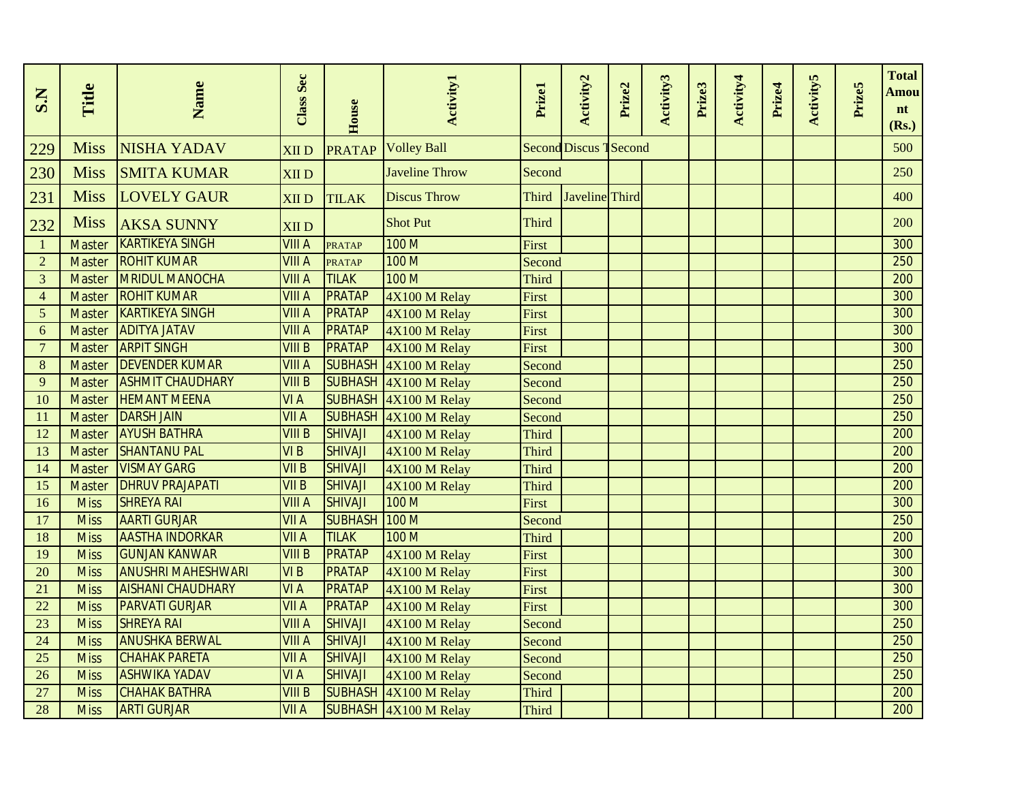| S.N            | Title         | Name                      | Class Sec       | House          | <b>Activity1</b>      | Prizel       | Activity2                     | Prize2 | Activity3 | Prize3 | Activity4 | Prize4 | <b>Activity5</b> | Prize5 | <b>Total</b><br>Amou<br>nt<br>(Rs.) |
|----------------|---------------|---------------------------|-----------------|----------------|-----------------------|--------------|-------------------------------|--------|-----------|--------|-----------|--------|------------------|--------|-------------------------------------|
| 229            | <b>Miss</b>   | <b>NISHA YADAV</b>        | <b>XIID</b>     | <b>PRATAP</b>  | <b>Volley Ball</b>    |              | <b>Second Discus 1 Second</b> |        |           |        |           |        |                  |        | 500                                 |
| 230            | <b>Miss</b>   | <b>SMITA KUMAR</b>        | <b>XIID</b>     |                | <b>Javeline Throw</b> | Second       |                               |        |           |        |           |        |                  |        | 250                                 |
| 231            | <b>Miss</b>   | <b>LOVELY GAUR</b>        | <b>XIID</b>     | <b>TILAK</b>   | <b>Discus Throw</b>   | Third        | Javeline Third                |        |           |        |           |        |                  |        | 400                                 |
| 232            | <b>Miss</b>   | <b>AKSA SUNNY</b>         | <b>XIID</b>     |                | <b>Shot Put</b>       | Third        |                               |        |           |        |           |        |                  |        | 200                                 |
| $\mathbf{1}$   | <b>Master</b> | <b>KARTIKEYA SINGH</b>    | <b>VIII A</b>   | <b>PRATAP</b>  | 100 M                 | First        |                               |        |           |        |           |        |                  |        | 300                                 |
| $\overline{2}$ | <b>Master</b> | <b>ROHIT KUMAR</b>        | <b>VIII A</b>   | <b>PRATAP</b>  | 100 M                 | Second       |                               |        |           |        |           |        |                  |        | 250                                 |
| 3              | <b>Master</b> | <b>MRIDUL MANOCHA</b>     | <b>VIII A</b>   | <b>TILAK</b>   | 100 M                 | <b>Third</b> |                               |        |           |        |           |        |                  |        | 200                                 |
| $\overline{4}$ | <b>Master</b> | <b>ROHIT KUMAR</b>        | <b>VIII A</b>   | <b>PRATAP</b>  | 4X100 M Relay         | First        |                               |        |           |        |           |        |                  |        | 300                                 |
| 5              | <b>Master</b> | <b>KARTIKEYA SINGH</b>    | <b>VIII A</b>   | <b>PRATAP</b>  | 4X100 M Relay         | First        |                               |        |           |        |           |        |                  |        | 300                                 |
| 6              | <b>Master</b> | <b>ADITYA JATAV</b>       | <b>VIII A</b>   | <b>PRATAP</b>  | 4X100 M Relay         | First        |                               |        |           |        |           |        |                  |        | 300                                 |
| $\overline{7}$ | <b>Master</b> | <b>ARPIT SINGH</b>        | <b>VIII B</b>   | <b>PRATAP</b>  | 4X100 M Relay         | First        |                               |        |           |        |           |        |                  |        | 300                                 |
| 8              | <b>Master</b> | <b>DEVENDER KUMAR</b>     | <b>VIII A</b>   | <b>SUBHASH</b> | $4X100$ M Relay       | Second       |                               |        |           |        |           |        |                  |        | 250                                 |
| 9              | <b>Master</b> | <b>ASHMIT CHAUDHARY</b>   | <b>VIII B</b>   | <b>SUBHASH</b> | 4X100 M Relay         | Second       |                               |        |           |        |           |        |                  |        | 250                                 |
| 10             | <b>Master</b> | <b>HEMANT MEENA</b>       | VI A            | <b>SUBHASH</b> | $4X100$ M Relay       | Second       |                               |        |           |        |           |        |                  |        | 250                                 |
| 11             | <b>Master</b> | <b>DARSH JAIN</b>         | <b>VII A</b>    | <b>SUBHASH</b> | $4X100$ M Relay       | Second       |                               |        |           |        |           |        |                  |        | 250                                 |
| 12             | Master        | <b>AYUSH BATHRA</b>       | VIIIB           | <b>SHIVAJI</b> | 4X100 M Relay         | Third        |                               |        |           |        |           |        |                  |        | 200                                 |
| 13             | <b>Master</b> | <b>SHANTANU PAL</b>       | VI <sub>B</sub> | <b>SHIVAJI</b> | 4X100 M Relay         | <b>Third</b> |                               |        |           |        |           |        |                  |        | 200                                 |
| 14             | <b>Master</b> | <b>VISMAY GARG</b>        | <b>VII B</b>    | <b>SHIVAJI</b> | 4X100 M Relay         | Third        |                               |        |           |        |           |        |                  |        | 200                                 |
| 15             | <b>Master</b> | <b>DHRUV PRAJAPATI</b>    | VIIB            | <b>SHIVAJI</b> | 4X100 M Relay         | Third        |                               |        |           |        |           |        |                  |        | 200                                 |
| 16             | <b>Miss</b>   | <b>SHREYA RAI</b>         | <b>VIII A</b>   | <b>SHIVAJI</b> | 100 M                 | First        |                               |        |           |        |           |        |                  |        | 300                                 |
| 17             | <b>Miss</b>   | <b>AARTI GURJAR</b>       | <b>VII A</b>    | <b>SUBHASH</b> | 100 M                 | Second       |                               |        |           |        |           |        |                  |        | 250                                 |
| 18             | <b>Miss</b>   | <b>AASTHA INDORKAR</b>    | <b>VII A</b>    | <b>TILAK</b>   | 100 M                 | Third        |                               |        |           |        |           |        |                  |        | 200                                 |
| 19             | <b>Miss</b>   | <b>GUNJAN KANWAR</b>      | <b>VIII B</b>   | <b>PRATAP</b>  | 4X100 M Relay         | First        |                               |        |           |        |           |        |                  |        | 300                                 |
| 20             | <b>Miss</b>   | <b>ANUSHRI MAHESHWARI</b> | VI <sub>B</sub> | <b>PRATAP</b>  | 4X100 M Relay         | First        |                               |        |           |        |           |        |                  |        | 300                                 |
| 21             | <b>Miss</b>   | <b>AISHANI CHAUDHARY</b>  | <b>VIA</b>      | <b>PRATAP</b>  | 4X100 M Relay         | <b>First</b> |                               |        |           |        |           |        |                  |        | 300                                 |
| 22             | <b>Miss</b>   | <b>PARVATI GURJAR</b>     | <b>VII A</b>    | <b>PRATAP</b>  | 4X100 M Relay         | First        |                               |        |           |        |           |        |                  |        | 300                                 |
| 23             | <b>Miss</b>   | <b>SHREYA RAI</b>         | <b>VIII A</b>   | <b>SHIVAJI</b> | 4X100 M Relay         | Second       |                               |        |           |        |           |        |                  |        | 250                                 |
| 24             | <b>Miss</b>   | <b>ANUSHKA BERWAL</b>     | <b>VIII A</b>   | <b>SHIVAJI</b> | 4X100 M Relay         | Second       |                               |        |           |        |           |        |                  |        | 250                                 |
| 25             | <b>Miss</b>   | <b>CHAHAK PARETA</b>      | <b>VII A</b>    | <b>SHIVAJI</b> | 4X100 M Relay         | Second       |                               |        |           |        |           |        |                  |        | 250                                 |
| 26             | <b>Miss</b>   | <b>ASHWIKA YADAV</b>      | <b>VIA</b>      | <b>SHIVAJI</b> | 4X100 M Relay         | Second       |                               |        |           |        |           |        |                  |        | 250                                 |
| 27             | <b>Miss</b>   | <b>CHAHAK BATHRA</b>      | <b>VIII B</b>   | <b>SUBHASH</b> | 4X100 M Relay         | Third        |                               |        |           |        |           |        |                  |        | 200                                 |
| 28             | <b>Miss</b>   | <b>ARTI GURJAR</b>        | <b>VII A</b>    |                | SUBHASH 4X100 M Relay | <b>Third</b> |                               |        |           |        |           |        |                  |        | 200                                 |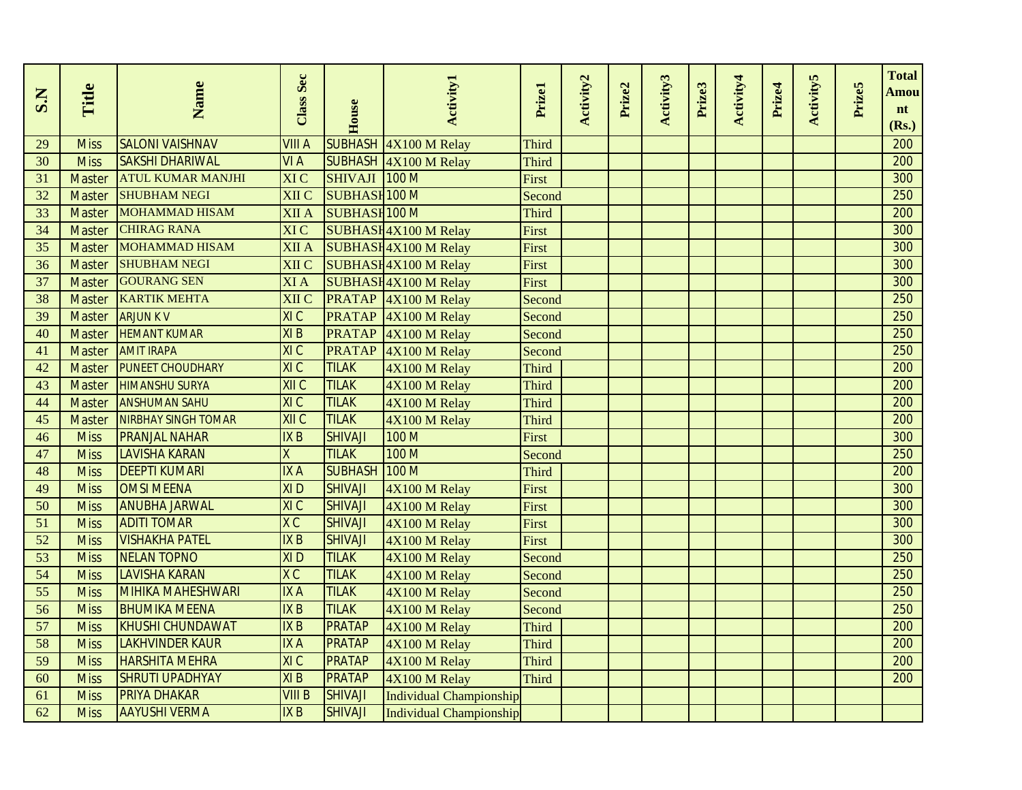| S.N             | Title         | Name                                         | Class Sec              | House                          | <b>Activity1</b>               | Prizel       | Activity2 | Prize2 | Activity3 | Prize3 | Activity4 | Prize4 | <b>Activity5</b> | Prize5 | <b>Total</b><br>Amou<br>nt |
|-----------------|---------------|----------------------------------------------|------------------------|--------------------------------|--------------------------------|--------------|-----------|--------|-----------|--------|-----------|--------|------------------|--------|----------------------------|
|                 |               |                                              |                        |                                |                                |              |           |        |           |        |           |        |                  |        | (Rs.)                      |
| 29              | <b>Miss</b>   | <b>SALONI VAISHNAV</b>                       | VIII A                 | <b>SUBHASH</b>                 | $4X100$ M Relay                | <b>Third</b> |           |        |           |        |           |        |                  |        | 200                        |
| 30              | <b>Miss</b>   | <b>SAKSHI DHARIWAL</b>                       | VI A                   |                                | SUBHASH 4X100 M Relay          | <b>Third</b> |           |        |           |        |           |        |                  |        | 200<br>300                 |
| 31              | <b>Master</b> | <b>ATUL KUMAR MANJHI</b>                     | XI C                   | SHIVAJI 100 M                  |                                | First        |           |        |           |        |           |        |                  |        |                            |
| 32              | <b>Master</b> | <b>SHUBHAM NEGI</b><br><b>MOHAMMAD HISAM</b> | XII C                  | <b>SUBHASH 100 M</b>           |                                | Second       |           |        |           |        |           |        |                  |        | 250                        |
| 33              | <b>Master</b> | <b>CHIRAG RANA</b>                           | XII A                  | <b>SUBHASH 100 M</b>           |                                | <b>Third</b> |           |        |           |        |           |        |                  |        | 200                        |
| 34              | <b>Master</b> | <b>MOHAMMAD HISAM</b>                        | XI C                   |                                | SUBHASH4X100 M Relay           | First        |           |        |           |        |           |        |                  |        | 300                        |
| 35              | <b>Master</b> | <b>SHUBHAM NEGI</b>                          | XII A                  |                                | SUBHASH4X100 M Relay           | First        |           |        |           |        |           |        |                  |        | 300<br>300                 |
| 36              | Master        | <b>GOURANG SEN</b>                           | XII C                  |                                | SUBHASH4X100 M Relay           | First        |           |        |           |        |           |        |                  |        | 300                        |
| 37              | <b>Master</b> | <b>KARTIK MEHTA</b>                          | XI A                   |                                | SUBHASH4X100 M Relay           | First        |           |        |           |        |           |        |                  |        | 250                        |
| 38              | <b>Master</b> | <b>ARJUN K V</b>                             | XII C<br>XIC           | <b>PRATAP</b><br><b>PRATAP</b> | $4X100$ M Relay                | Second       |           |        |           |        |           |        |                  |        | 250                        |
| 39              | <b>Master</b> |                                              |                        |                                | $4X100$ M Relay                | Second       |           |        |           |        |           |        |                  |        |                            |
| 40              | <b>Master</b> | <b>HEMANT KUMAR</b><br><b>AMIT IRAPA</b>     | XI <sub>B</sub><br>XIC | <b>PRATAP</b>                  | $4X100$ M Relay                | Second       |           |        |           |        |           |        |                  |        | 250<br>250                 |
| 41              | <b>Master</b> |                                              | XIC                    | <b>PRATAP</b><br><b>TILAK</b>  | $4X100$ M Relay                | Second       |           |        |           |        |           |        |                  |        | 200                        |
| 42              | <b>Master</b> | <b>PUNEET CHOUDHARY</b>                      |                        |                                | 4X100 M Relay                  | <b>Third</b> |           |        |           |        |           |        |                  |        |                            |
| 43              | <b>Master</b> | <b>HIMANSHU SURYA</b>                        | XII C<br>XIC           | <b>TILAK</b>                   | 4X100 M Relay                  | Third        |           |        |           |        |           |        |                  |        | 200<br>200                 |
| 44              | <b>Master</b> | <b>ANSHUMAN SAHU</b>                         | XIIC                   | <b>TILAK</b><br><b>TILAK</b>   | 4X100 M Relay                  | Third        |           |        |           |        |           |        |                  |        |                            |
| 45              | <b>Master</b> | <b>NIRBHAY SINGH TOMAR</b>                   |                        |                                | 4X100 M Relay                  | <b>Third</b> |           |        |           |        |           |        |                  |        | 200                        |
| 46              | <b>Miss</b>   | <b>PRANJAL NAHAR</b>                         | <b>IXB</b>             | <b>SHIVAJI</b>                 | 100 M<br>100 M                 | First        |           |        |           |        |           |        |                  |        | 300<br>250                 |
| 47              | <b>Miss</b>   | <b>LAVISHA KARAN</b>                         | X                      | <b>TILAK</b>                   |                                | Second       |           |        |           |        |           |        |                  |        |                            |
| 48              | <b>Miss</b>   | <b>DEEPTI KUMARI</b>                         | <b>IXA</b>             | <b>SUBHASH</b>                 | 100 M                          | <b>Third</b> |           |        |           |        |           |        |                  |        | 200                        |
| 49              | <b>Miss</b>   | <b>OMSI MEENA</b>                            | <b>XID</b>             | <b>SHIVAJI</b>                 | 4X100 M Relay                  | First        |           |        |           |        |           |        |                  |        | 300                        |
| 50              | <b>Miss</b>   | <b>ANUBHA JARWAL</b>                         | XI C                   | <b>SHIVAJI</b>                 | 4X100 M Relay                  | First        |           |        |           |        |           |        |                  |        | 300                        |
| 51              | <b>Miss</b>   | <b>ADITI TOMAR</b>                           | X C                    | <b>SHIVAJI</b>                 | 4X100 M Relay                  | First        |           |        |           |        |           |        |                  |        | 300                        |
| 52              | <b>Miss</b>   | <b>VISHAKHA PATEL</b>                        | IX B                   | <b>SHIVAJI</b>                 | 4X100 M Relay                  | First        |           |        |           |        |           |        |                  |        | 300                        |
| 53              | <b>Miss</b>   | <b>NELAN TOPNO</b>                           | XI <sub>D</sub>        | <b>TILAK</b>                   | 4X100 M Relay                  | Second       |           |        |           |        |           |        |                  |        | 250                        |
| 54              | <b>Miss</b>   | <b>LAVISHA KARAN</b>                         | X C<br>IX A            | <b>TILAK</b>                   | 4X100 M Relay                  | Second       |           |        |           |        |           |        |                  |        | 250<br>250                 |
| $\overline{55}$ | <b>Miss</b>   | <b>MIHIKA MAHESHWARI</b>                     |                        | <b>TILAK</b>                   | 4X100 M Relay                  | Second       |           |        |           |        |           |        |                  |        |                            |
| 56              | <b>Miss</b>   | <b>BHUMIKA MEENA</b>                         | IX B                   | <b>TILAK</b>                   | 4X100 M Relay                  | Second       |           |        |           |        |           |        |                  |        | 250                        |
| 57              | <b>Miss</b>   | <b>KHUSHI CHUNDAWAT</b>                      | IX B                   | <b>PRATAP</b>                  | 4X100 M Relay                  | <b>Third</b> |           |        |           |        |           |        |                  |        | 200                        |
| 58              | <b>Miss</b>   | <b>LAKHVINDER KAUR</b>                       | <b>IXA</b>             | <b>PRATAP</b>                  | 4X100 M Relay                  | <b>Third</b> |           |        |           |        |           |        |                  |        | 200                        |
| 59              | <b>Miss</b>   | <b>HARSHITA MEHRA</b>                        | XIC<br>XIB             | <b>PRATAP</b>                  | 4X100 M Relay                  | <b>Third</b> |           |        |           |        |           |        |                  |        | 200<br>$\overline{200}$    |
| 60              | <b>Miss</b>   | <b>SHRUTI UPADHYAY</b>                       |                        | <b>PRATAP</b>                  | 4X100 M Relay                  | <b>Third</b> |           |        |           |        |           |        |                  |        |                            |
| 61              | <b>Miss</b>   | <b>PRIYA DHAKAR</b>                          | <b>VIII B</b>          | <b>SHIVAJI</b>                 | <b>Individual Championship</b> |              |           |        |           |        |           |        |                  |        |                            |
| 62              | <b>Miss</b>   | <b>AAYUSHI VERMA</b>                         | IX B                   | <b>SHIVAJI</b>                 | <b>Individual Championship</b> |              |           |        |           |        |           |        |                  |        |                            |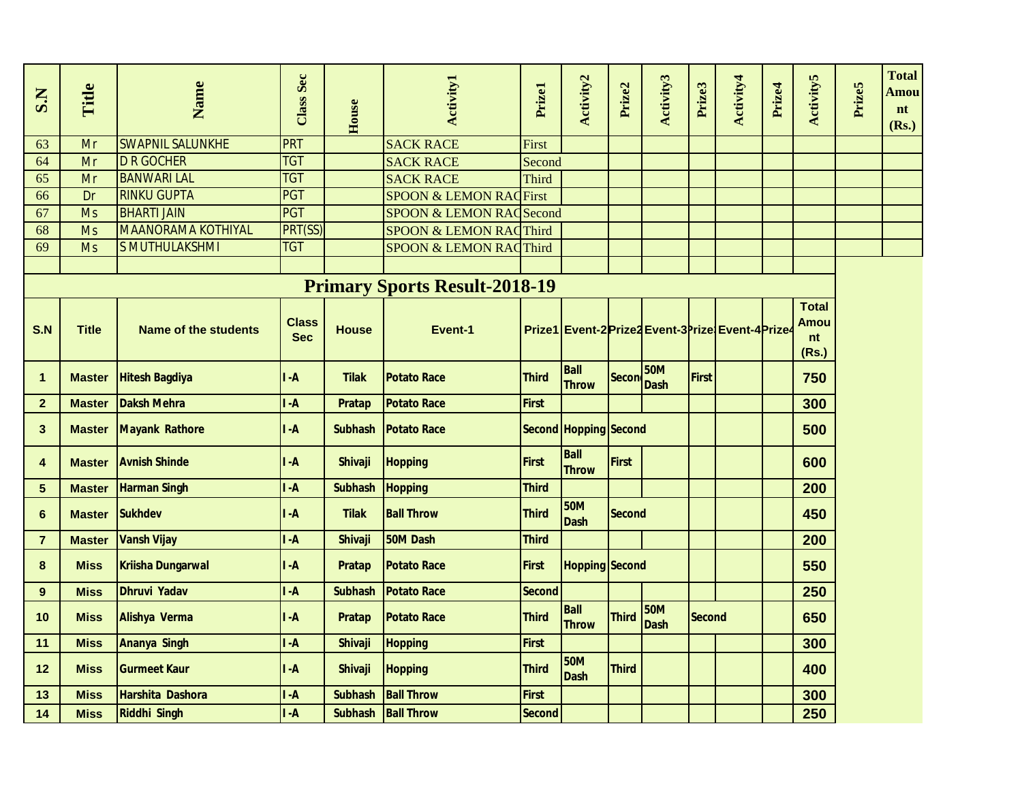| S.N            | Title         | Name                        | <b>Class Sec</b>           | House          | <b>Activity1</b>                     | Prizel        | Activity2                                         | Prize2        | Activity3                 | Prize3        | Activity4 | Prize4 | <b>Activity5</b>                           | Prize5 | <b>Total</b><br>Amou<br>nt<br>(Rs.) |
|----------------|---------------|-----------------------------|----------------------------|----------------|--------------------------------------|---------------|---------------------------------------------------|---------------|---------------------------|---------------|-----------|--------|--------------------------------------------|--------|-------------------------------------|
| 63             | Mr            | <b>SWAPNIL SALUNKHE</b>     | <b>PRT</b>                 |                | <b>SACK RACE</b>                     | First         |                                                   |               |                           |               |           |        |                                            |        |                                     |
| 64             | Mr            | <b>D R GOCHER</b>           | <b>TGT</b>                 |                | <b>SACK RACE</b>                     | Second        |                                                   |               |                           |               |           |        |                                            |        |                                     |
| 65             | Mr            | <b>BANWARI LAL</b>          | <b>TGT</b>                 |                | <b>SACK RACE</b>                     | Third         |                                                   |               |                           |               |           |        |                                            |        |                                     |
| 66             | Dr            | <b>RINKU GUPTA</b>          | PGT                        |                | <b>SPOON &amp; LEMON RACFirst</b>    |               |                                                   |               |                           |               |           |        |                                            |        |                                     |
| 67             | <b>Ms</b>     | <b>BHARTI JAIN</b>          | <b>PGT</b>                 |                | <b>SPOON &amp; LEMON RACSecond</b>   |               |                                                   |               |                           |               |           |        |                                            |        |                                     |
| 68             | <b>Ms</b>     | <b>MAANORAMA KOTHIYAL</b>   | PRT(SS)                    |                | <b>SPOON &amp; LEMON RACThird</b>    |               |                                                   |               |                           |               |           |        |                                            |        |                                     |
| 69             | <b>Ms</b>     | S MUTHULAKSHMI              | <b>TGT</b>                 |                | <b>SPOON &amp; LEMON RACThird</b>    |               |                                                   |               |                           |               |           |        |                                            |        |                                     |
|                |               |                             |                            |                |                                      |               |                                                   |               |                           |               |           |        |                                            |        |                                     |
|                |               |                             |                            |                | <b>Primary Sports Result-2018-19</b> |               |                                                   |               |                           |               |           |        |                                            |        |                                     |
| S.N            | <b>Title</b>  | <b>Name of the students</b> | <b>Class</b><br><b>Sec</b> | <b>House</b>   | Event-1                              |               | Prize1 Event-2 Prize2 Event-3 Prize Event-4 Prize |               |                           |               |           |        | <b>Total</b><br><b>Amou</b><br>nt<br>(Rs.) |        |                                     |
| $\mathbf{1}$   | <b>Master</b> | <b>Hitesh Bagdiya</b>       | $I - A$                    | <b>Tilak</b>   | <b>Potato Race</b>                   | <b>Third</b>  | <b>Ball</b><br><b>Throw</b>                       | <b>Secon</b>  | <b>50M</b><br><b>Dash</b> | First         |           |        | 750                                        |        |                                     |
| $\overline{2}$ | <b>Master</b> | <b>Daksh Mehra</b>          | I -A                       | Pratap         | <b>Potato Race</b>                   | <b>First</b>  |                                                   |               |                           |               |           |        | 300                                        |        |                                     |
| $\mathbf{3}$   | <b>Master</b> | <b>Mayank Rathore</b>       | $I - A$                    | <b>Subhash</b> | <b>Potato Race</b>                   |               | Second Hopping Second                             |               |                           |               |           |        | 500                                        |        |                                     |
| 4              | <b>Master</b> | <b>Avnish Shinde</b>        | $I - A$                    | <b>Shivaji</b> | <b>Hopping</b>                       | <b>First</b>  | Ball<br><b>Throw</b>                              | <b>First</b>  |                           |               |           |        | 600                                        |        |                                     |
| $5\phantom{1}$ | <b>Master</b> | <b>Harman Singh</b>         | $I - A$                    | <b>Subhash</b> | <b>Hopping</b>                       | <b>Third</b>  |                                                   |               |                           |               |           |        | 200                                        |        |                                     |
| $6\phantom{1}$ | <b>Master</b> | <b>Sukhdev</b>              | $I - A$                    | <b>Tilak</b>   | <b>Ball Throw</b>                    | <b>Third</b>  | <b>50M</b><br><b>Dash</b>                         | <b>Second</b> |                           |               |           |        | 450                                        |        |                                     |
| $\overline{7}$ | <b>Master</b> | <b>Vansh Vijay</b>          | $I - A$                    | <b>Shivaji</b> | 50M Dash                             | <b>Third</b>  |                                                   |               |                           |               |           |        | 200                                        |        |                                     |
| 8              | <b>Miss</b>   | <b>Kriisha Dungarwal</b>    | $\mathsf{I}$ -A            | Pratap         | <b>Potato Race</b>                   | First         | <b>Hopping Second</b>                             |               |                           |               |           |        | 550                                        |        |                                     |
| 9              | <b>Miss</b>   | <b>Dhruvi Yadav</b>         | $I - A$                    | <b>Subhash</b> | <b>Potato Race</b>                   | Second        |                                                   |               |                           |               |           |        | 250                                        |        |                                     |
| 10             | <b>Miss</b>   | Alishya Verma               | $I - A$                    | <b>Pratap</b>  | <b>Potato Race</b>                   | <b>Third</b>  | <b>Ball</b><br><b>Throw</b>                       | <b>Third</b>  | <b>50M</b><br><b>Dash</b> | <b>Second</b> |           |        | 650                                        |        |                                     |
| 11             | <b>Miss</b>   | <b>Ananya Singh</b>         | $I - A$                    | Shivaji        | <b>Hopping</b>                       | <b>First</b>  |                                                   |               |                           |               |           |        | 300                                        |        |                                     |
| 12             | <b>Miss</b>   | <b>Gurmeet Kaur</b>         | $I - A$                    | <b>Shivaji</b> | <b>Hopping</b>                       | <b>Third</b>  | <b>50M</b><br><b>Dash</b>                         | <b>Third</b>  |                           |               |           |        | 400                                        |        |                                     |
| 13             | <b>Miss</b>   | <b>Harshita Dashora</b>     | $I - A$                    | <b>Subhash</b> | <b>Ball Throw</b>                    | <b>First</b>  |                                                   |               |                           |               |           |        | 300                                        |        |                                     |
| 14             | <b>Miss</b>   | <b>Riddhi Singh</b>         | $I - A$                    |                | Subhash Ball Throw                   | <b>Second</b> |                                                   |               |                           |               |           |        | 250                                        |        |                                     |
|                |               |                             |                            |                |                                      |               |                                                   |               |                           |               |           |        |                                            |        |                                     |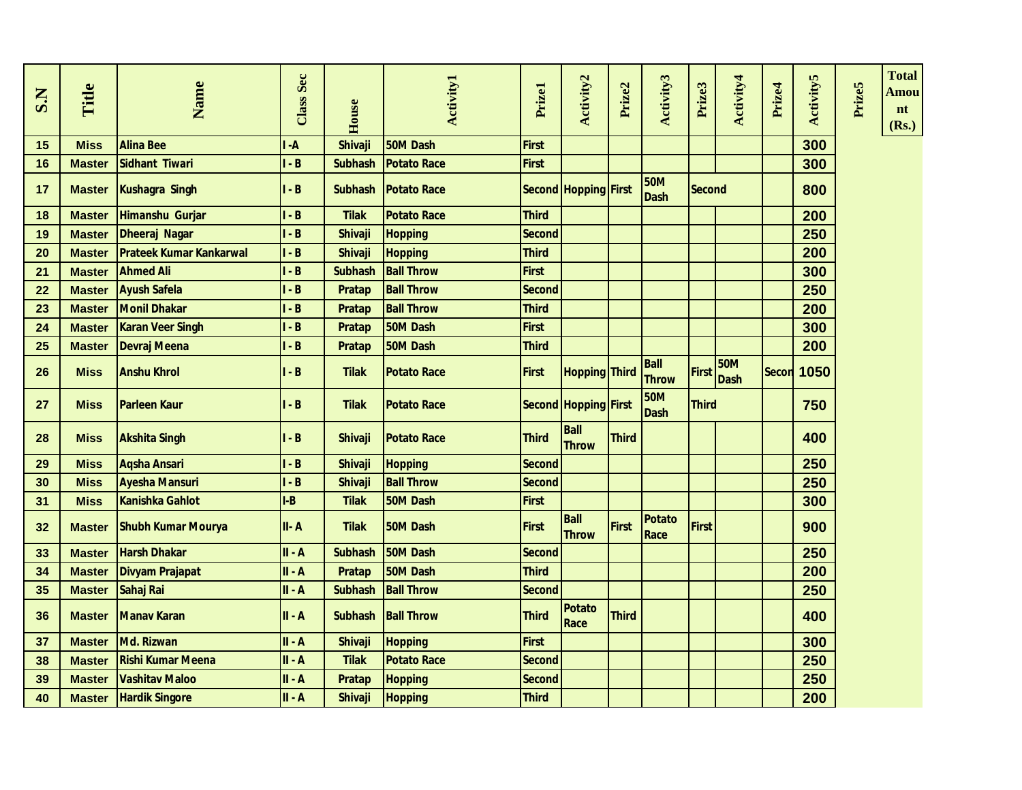| S.N | Title         | Name                           | Class Sec      | House          | <b>Activity1</b>   | Prizel        | Activity2                   | Prize2       | Activity3                   | Prize3        | Activity4                 | Prize4       | <b>Activity5</b> | Prize5 | <b>Total</b><br>Amou<br>nt<br>(Rs.) |
|-----|---------------|--------------------------------|----------------|----------------|--------------------|---------------|-----------------------------|--------------|-----------------------------|---------------|---------------------------|--------------|------------------|--------|-------------------------------------|
| 15  | <b>Miss</b>   | <b>Alina Bee</b>               | $\overline{A}$ | <b>Shivaji</b> | 50M Dash           | <b>First</b>  |                             |              |                             |               |                           |              | 300              |        |                                     |
| 16  | <b>Master</b> | Sidhant Tiwari                 | $-B$           | <b>Subhash</b> | <b>Potato Race</b> | <b>First</b>  |                             |              |                             |               |                           |              | 300              |        |                                     |
| 17  | <b>Master</b> | Kushagra Singh                 | - $\mathbf B$  | <b>Subhash</b> | <b>Potato Race</b> |               | Second Hopping First        |              | <b>50M</b><br><b>Dash</b>   | <b>Second</b> |                           |              | 800              |        |                                     |
| 18  | <b>Master</b> | Himanshu Gurjar                | $-B$           | <b>Tilak</b>   | <b>Potato Race</b> | <b>Third</b>  |                             |              |                             |               |                           |              | 200              |        |                                     |
| 19  | <b>Master</b> | Dheeraj Nagar                  | $-B$           | <b>Shivaji</b> | <b>Hopping</b>     | <b>Second</b> |                             |              |                             |               |                           |              | 250              |        |                                     |
| 20  | <b>Master</b> | <b>Prateek Kumar Kankarwal</b> | $-B$           | <b>Shivaji</b> | <b>Hopping</b>     | <b>Third</b>  |                             |              |                             |               |                           |              | 200              |        |                                     |
| 21  | <b>Master</b> | <b>Ahmed Ali</b>               | $-B$           | <b>Subhash</b> | <b>Ball Throw</b>  | <b>First</b>  |                             |              |                             |               |                           |              | 300              |        |                                     |
| 22  | <b>Master</b> | <b>Ayush Safela</b>            | $-B$           | <b>Pratap</b>  | <b>Ball Throw</b>  | <b>Second</b> |                             |              |                             |               |                           |              | 250              |        |                                     |
| 23  | <b>Master</b> | <b>Monil Dhakar</b>            | $-B$           | <b>Pratap</b>  | <b>Ball Throw</b>  | <b>Third</b>  |                             |              |                             |               |                           |              | 200              |        |                                     |
| 24  | <b>Master</b> | <b>Karan Veer Singh</b>        | $-B$           | <b>Pratap</b>  | 50M Dash           | <b>First</b>  |                             |              |                             |               |                           |              | 300              |        |                                     |
| 25  | <b>Master</b> | <b>Devraj Meena</b>            | $-B$           | Pratap         | 50M Dash           | <b>Third</b>  |                             |              |                             |               |                           |              | 200              |        |                                     |
| 26  | <b>Miss</b>   | <b>Anshu Khrol</b>             | $- B$          | <b>Tilak</b>   | <b>Potato Race</b> | <b>First</b>  | <b>Hopping Third</b>        |              | <b>Ball</b><br><b>Throw</b> | <b>First</b>  | <b>50M</b><br><b>Dash</b> | <b>Secon</b> | 1050             |        |                                     |
| 27  | <b>Miss</b>   | <b>Parleen Kaur</b>            | $\mathbf{-B}$  | <b>Tilak</b>   | <b>Potato Race</b> |               | Second Hopping First        |              | <b>50M</b><br><b>Dash</b>   | <b>Third</b>  |                           |              | 750              |        |                                     |
| 28  | <b>Miss</b>   | <b>Akshita Singh</b>           | $\mathbf{-B}$  | <b>Shivaji</b> | <b>Potato Race</b> | <b>Third</b>  | <b>Ball</b><br><b>Throw</b> | <b>Third</b> |                             |               |                           |              | 400              |        |                                     |
| 29  | <b>Miss</b>   | <b>Aqsha Ansari</b>            | - $\bf{B}$     | <b>Shivaji</b> | <b>Hopping</b>     | <b>Second</b> |                             |              |                             |               |                           |              | 250              |        |                                     |
| 30  | <b>Miss</b>   | <b>Ayesha Mansuri</b>          | $-B$           | <b>Shivaji</b> | <b>Ball Throw</b>  | <b>Second</b> |                             |              |                             |               |                           |              | 250              |        |                                     |
| 31  | <b>Miss</b>   | Kanishka Gahlot                | $I-B$          | <b>Tilak</b>   | 50M Dash           | <b>First</b>  |                             |              |                             |               |                           |              | 300              |        |                                     |
| 32  | <b>Master</b> | <b>Shubh Kumar Mourya</b>      | II-A           | <b>Tilak</b>   | 50M Dash           | <b>First</b>  | <b>Ball</b><br><b>Throw</b> | <b>First</b> | <b>Potato</b><br>Race       | <b>First</b>  |                           |              | 900              |        |                                     |
| 33  | <b>Master</b> | <b>Harsh Dhakar</b>            | $II - A$       | <b>Subhash</b> | 50M Dash           | <b>Second</b> |                             |              |                             |               |                           |              | 250              |        |                                     |
| 34  | <b>Master</b> | <b>Divyam Prajapat</b>         | $II - A$       | <b>Pratap</b>  | 50M Dash           | Third         |                             |              |                             |               |                           |              | 200              |        |                                     |
| 35  | <b>Master</b> | Sahaj Rai                      | II - A         | <b>Subhash</b> | <b>Ball Throw</b>  | <b>Second</b> |                             |              |                             |               |                           |              | 250              |        |                                     |
| 36  | <b>Master</b> | <b>Manay Karan</b>             | $II - A$       | <b>Subhash</b> | <b>Ball Throw</b>  | Third         | <b>Potato</b><br>Race       | <b>Third</b> |                             |               |                           |              | 400              |        |                                     |
| 37  | <b>Master</b> | Md. Rizwan                     | $II - A$       | <b>Shivaji</b> | <b>Hopping</b>     | <b>First</b>  |                             |              |                             |               |                           |              | 300              |        |                                     |
| 38  | <b>Master</b> | <b>Rishi Kumar Meena</b>       | $II - A$       | <b>Tilak</b>   | <b>Potato Race</b> | <b>Second</b> |                             |              |                             |               |                           |              | 250              |        |                                     |
| 39  | <b>Master</b> | <b>Vashitav Maloo</b>          | $II - A$       | <b>Pratap</b>  | <b>Hopping</b>     | <b>Second</b> |                             |              |                             |               |                           |              | 250              |        |                                     |
| 40  | <b>Master</b> | <b>Hardik Singore</b>          | $II - A$       | <b>Shivaji</b> | <b>Hopping</b>     | <b>Third</b>  |                             |              |                             |               |                           |              | 200              |        |                                     |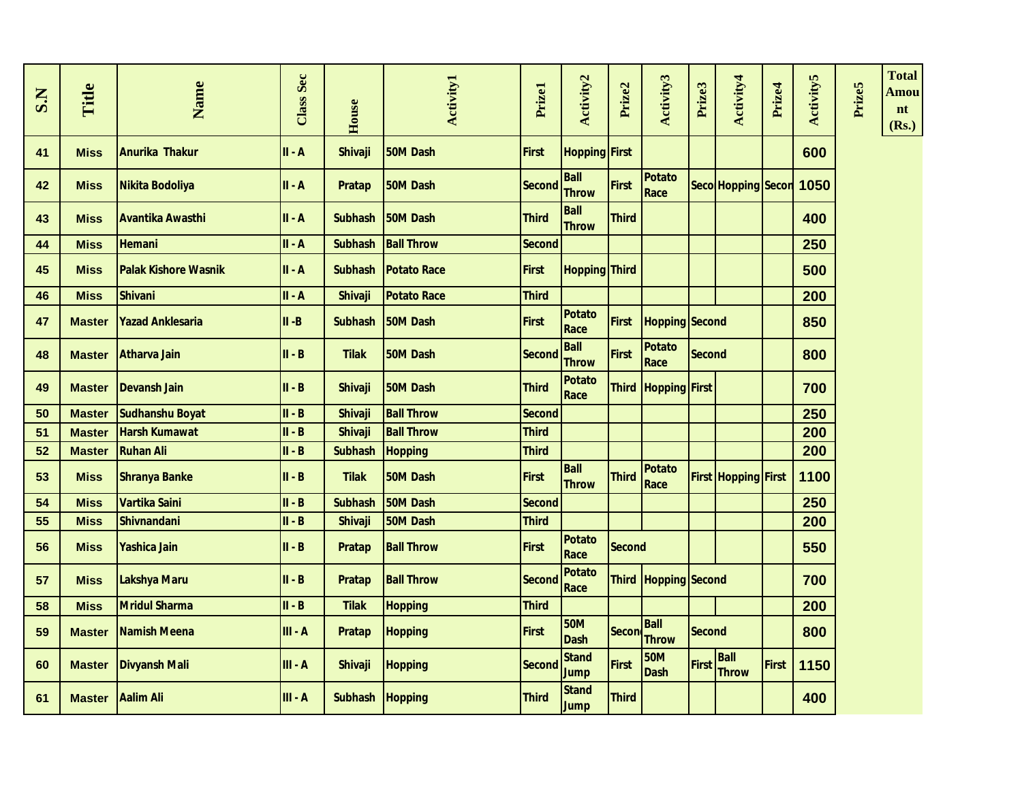| S.N | Title         | Name                        | <b>Class Sec</b> | House           | <b>Activity1</b>   | Prizel        | Activity <sub>2</sub>       | Prize2       | Activity3                   | Prize3        | Activity4                   | Prize4 | <b>Activity5</b> | Prize5 | <b>Total</b><br>Amou<br>nt<br>(Rs.) |
|-----|---------------|-----------------------------|------------------|-----------------|--------------------|---------------|-----------------------------|--------------|-----------------------------|---------------|-----------------------------|--------|------------------|--------|-------------------------------------|
| 41  | <b>Miss</b>   | <b>Anurika Thakur</b>       | $II - A$         | <b>Shivaji</b>  | <b>50M Dash</b>    | <b>First</b>  | <b>Hopping First</b>        |              |                             |               |                             |        | 600              |        |                                     |
| 42  | <b>Miss</b>   | Nikita Bodoliya             | II-A             | <b>Pratap</b>   | 50M Dash           | <b>Second</b> | <b>Ball</b><br><b>Throw</b> | <b>First</b> | Potato<br>Race              |               | Seco Hopping Secon          |        | 1050             |        |                                     |
| 43  | <b>Miss</b>   | <b>Avantika Awasthi</b>     | $II - A$         | <b>Subhash</b>  | 50M Dash           | <b>Third</b>  | <b>Ball</b><br><b>Throw</b> | <b>Third</b> |                             |               |                             |        | 400              |        |                                     |
| 44  | <b>Miss</b>   | <b>Hemani</b>               | II-A             | <b>Subhash</b>  | <b>Ball Throw</b>  | Second        |                             |              |                             |               |                             |        | 250              |        |                                     |
| 45  | <b>Miss</b>   | <b>Palak Kishore Wasnik</b> | $II - A$         | <b>Subhash</b>  | <b>Potato Race</b> | <b>First</b>  | <b>Hopping Third</b>        |              |                             |               |                             |        | 500              |        |                                     |
| 46  | <b>Miss</b>   | <b>Shivani</b>              | II-A             | <b>Shivaji</b>  | <b>Potato Race</b> | <b>Third</b>  |                             |              |                             |               |                             |        | 200              |        |                                     |
| 47  | <b>Master</b> | <b>Yazad Anklesaria</b>     | $II - B$         | <b>Subhash</b>  | 50M Dash           | First         | <b>Potato</b><br>Race       | First        | <b>Hopping Second</b>       |               |                             |        | 850              |        |                                     |
| 48  | <b>Master</b> | Atharva Jain                | $II - B$         | <b>Tilak</b>    | 50M Dash           | <b>Second</b> | <b>Ball</b><br><b>Throw</b> | <b>First</b> | Potato<br>Race              | <b>Second</b> |                             |        | 800              |        |                                     |
| 49  | <b>Master</b> | <b>Devansh Jain</b>         | $II - B$         | <b>Shivaji</b>  | <b>50M Dash</b>    | <b>Third</b>  | <b>Potato</b><br>Race       |              | Third   Hopping   First     |               |                             |        | 700              |        |                                     |
| 50  | <b>Master</b> | <b>Sudhanshu Boyat</b>      | $II - B$         | <b>Shivaji</b>  | <b>Ball Throw</b>  | Second        |                             |              |                             |               |                             |        | 250              |        |                                     |
| 51  | <b>Master</b> | <b>Harsh Kumawat</b>        | III - B          | <b>Shivaji</b>  | <b>Ball Throw</b>  | <b>Third</b>  |                             |              |                             |               |                             |        | 200              |        |                                     |
| 52  | <b>Master</b> | <b>Ruhan Ali</b>            | $II - B$         | <b>Subhash</b>  | <b>Hopping</b>     | <b>Third</b>  |                             |              |                             |               |                             |        | 200              |        |                                     |
| 53  | <b>Miss</b>   | <b>Shranya Banke</b>        | $II - B$         | <b>Tilak</b>    | 50M Dash           | First         | <b>Ball</b><br><b>Throw</b> | <b>Third</b> | Potato<br>Race              |               | <b>First Hopping First</b>  |        | 1100             |        |                                     |
| 54  | <b>Miss</b>   | Vartika Saini               | $II - B$         | <b>Subhash</b>  | 50M Dash           | Second        |                             |              |                             |               |                             |        | 250              |        |                                     |
| 55  | <b>Miss</b>   | <b>Shivnandani</b>          | $II - B$         | <b>Shivaji</b>  | 50M Dash           | <b>Third</b>  |                             |              |                             |               |                             |        | 200              |        |                                     |
| 56  | <b>Miss</b>   | <b>Yashica Jain</b>         | $II - B$         | <b>Pratap</b>   | <b>Ball Throw</b>  | First         | <b>Potato</b><br>Race       | Second       |                             |               |                             |        | 550              |        |                                     |
| 57  | <b>Miss</b>   | Lakshya Maru                | $II - B$         | Pratap          | <b>Ball Throw</b>  | <b>Second</b> | <b>Potato</b><br>Race       |              | Third Hopping Second        |               |                             |        | 700              |        |                                     |
| 58  | <b>Miss</b>   | <b>Mridul Sharma</b>        | $II - B$         | <b>Tilak</b>    | <b>Hopping</b>     | <b>Third</b>  |                             |              |                             |               |                             |        | 200              |        |                                     |
| 59  | <b>Master</b> | <b>Namish Meena</b>         | $III - A$        | <b>Pratap</b>   | <b>Hopping</b>     | <b>First</b>  | <b>50M</b><br><b>Dash</b>   | <b>Secon</b> | <b>Ball</b><br><b>Throw</b> | <b>Second</b> |                             |        | 800              |        |                                     |
| 60  | <b>Master</b> | <b>Divyansh Mali</b>        | $III - A$        | <b>Shivaji</b>  | <b>Hopping</b>     | <b>Second</b> | <b>Stand</b><br><b>Jump</b> | <b>First</b> | <b>50M</b><br><b>Dash</b>   | <b>First</b>  | <b>Ball</b><br><b>Throw</b> | First  | 1150             |        |                                     |
| 61  | <b>Master</b> | <b>Aalim Ali</b>            | III - A          | Subhash Hopping |                    | <b>Third</b>  | <b>Stand</b><br><b>Jump</b> | <b>Third</b> |                             |               |                             |        | 400              |        |                                     |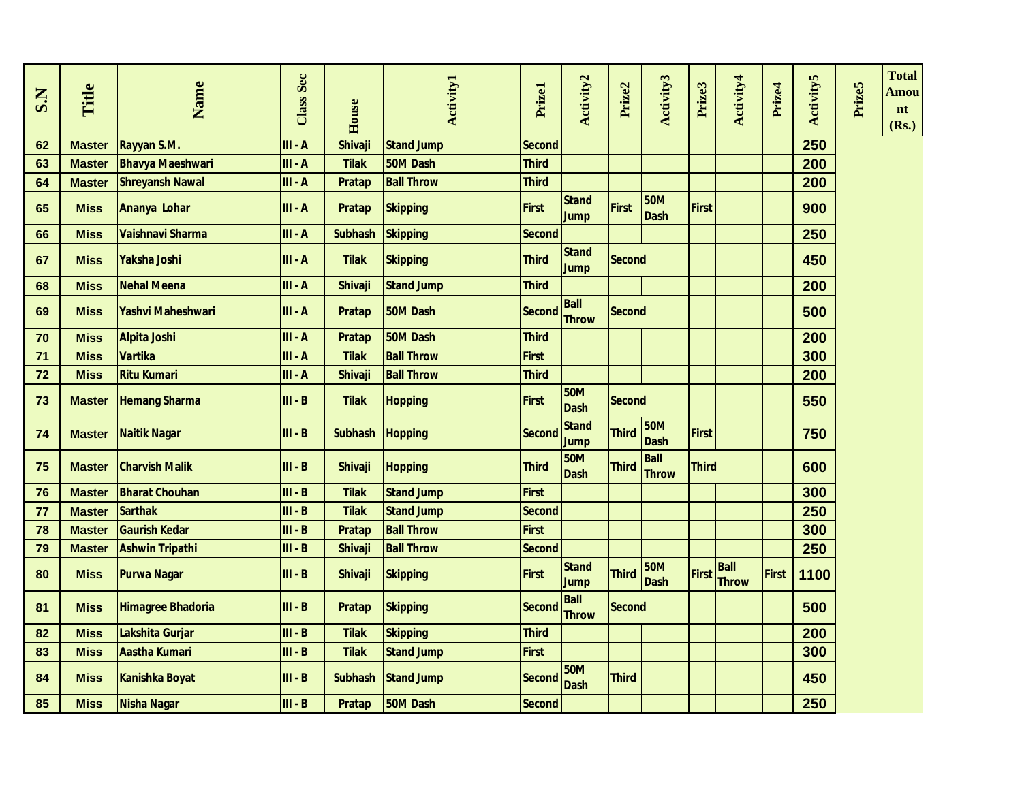| S.N | Title         | Name                     | <b>Class Sec</b> | House          | <b>Activity1</b>  | Prizel        | <b>Activity2</b>            | Prize2        | Activity3                   | Prize3       | Activity4                   | Prize4       | <b>Activity5</b> | Prize5 | <b>Total</b><br>Amou<br>nt<br>(Rs.) |
|-----|---------------|--------------------------|------------------|----------------|-------------------|---------------|-----------------------------|---------------|-----------------------------|--------------|-----------------------------|--------------|------------------|--------|-------------------------------------|
| 62  | <b>Master</b> | Rayyan S.M.              | III - A          | <b>Shivaji</b> | <b>Stand Jump</b> | <b>Second</b> |                             |               |                             |              |                             |              | 250              |        |                                     |
| 63  | <b>Master</b> | <b>Bhavya Maeshwari</b>  | $III - A$        | <b>Tilak</b>   | <b>50M Dash</b>   | <b>Third</b>  |                             |               |                             |              |                             |              | 200              |        |                                     |
| 64  | <b>Master</b> | <b>Shreyansh Nawal</b>   | $III - A$        | Pratap         | <b>Ball Throw</b> | <b>Third</b>  |                             |               |                             |              |                             |              | 200              |        |                                     |
| 65  | <b>Miss</b>   | Ananya Lohar             | $III - A$        | <b>Pratap</b>  | <b>Skipping</b>   | <b>First</b>  | <b>Stand</b><br>Jump        | <b>First</b>  | <b>50M</b><br><b>Dash</b>   | <b>First</b> |                             |              | 900              |        |                                     |
| 66  | <b>Miss</b>   | Vaishnavi Sharma         | $III - A$        | <b>Subhash</b> | <b>Skipping</b>   | <b>Second</b> |                             |               |                             |              |                             |              | 250              |        |                                     |
| 67  | <b>Miss</b>   | Yaksha Joshi             | $III - A$        | <b>Tilak</b>   | <b>Skipping</b>   | <b>Third</b>  | <b>Stand</b><br><b>Jump</b> | <b>Second</b> |                             |              |                             |              | 450              |        |                                     |
| 68  | <b>Miss</b>   | <b>Nehal Meena</b>       | $III - A$        | <b>Shivaji</b> | <b>Stand Jump</b> | <b>Third</b>  |                             |               |                             |              |                             |              | 200              |        |                                     |
| 69  | <b>Miss</b>   | <b>Yashvi Maheshwari</b> | $III - A$        | <b>Pratap</b>  | 50M Dash          | <b>Second</b> | <b>Ball</b><br><b>Throw</b> | <b>Second</b> |                             |              |                             |              | 500              |        |                                     |
| 70  | <b>Miss</b>   | <b>Alpita Joshi</b>      | $III - A$        | <b>Pratap</b>  | <b>50M Dash</b>   | <b>Third</b>  |                             |               |                             |              |                             |              | 200              |        |                                     |
| 71  | <b>Miss</b>   | <b>Vartika</b>           | $III - A$        | <b>Tilak</b>   | <b>Ball Throw</b> | <b>First</b>  |                             |               |                             |              |                             |              | 300              |        |                                     |
| 72  | <b>Miss</b>   | <b>Ritu Kumari</b>       | $III - A$        | <b>Shivaji</b> | <b>Ball Throw</b> | <b>Third</b>  |                             |               |                             |              |                             |              | 200              |        |                                     |
| 73  | <b>Master</b> | <b>Hemang Sharma</b>     | $III - B$        | <b>Tilak</b>   | <b>Hopping</b>    | <b>First</b>  | <b>50M</b><br><b>Dash</b>   | <b>Second</b> |                             |              |                             |              | 550              |        |                                     |
| 74  | <b>Master</b> | <b>Naitik Nagar</b>      | $III - B$        | <b>Subhash</b> | <b>Hopping</b>    | <b>Second</b> | <b>Stand</b><br><b>Jump</b> | <b>Third</b>  | <b>50M</b><br><b>Dash</b>   | <b>First</b> |                             |              | 750              |        |                                     |
| 75  | <b>Master</b> | <b>Charvish Malik</b>    | $III - B$        | <b>Shivaji</b> | <b>Hopping</b>    | <b>Third</b>  | <b>50M</b><br><b>Dash</b>   | <b>Third</b>  | <b>Ball</b><br><b>Throw</b> | <b>Third</b> |                             |              | 600              |        |                                     |
| 76  | <b>Master</b> | <b>Bharat Chouhan</b>    | $III - B$        | <b>Tilak</b>   | <b>Stand Jump</b> | <b>First</b>  |                             |               |                             |              |                             |              | 300              |        |                                     |
| 77  | <b>Master</b> | <b>Sarthak</b>           | $III - B$        | <b>Tilak</b>   | <b>Stand Jump</b> | Second        |                             |               |                             |              |                             |              | 250              |        |                                     |
| 78  | <b>Master</b> | <b>Gaurish Kedar</b>     | $III - B$        | <b>Pratap</b>  | <b>Ball Throw</b> | <b>First</b>  |                             |               |                             |              |                             |              | 300              |        |                                     |
| 79  | <b>Master</b> | <b>Ashwin Tripathi</b>   | $III - B$        | <b>Shivaji</b> | <b>Ball Throw</b> | <b>Second</b> |                             |               |                             |              |                             |              | 250              |        |                                     |
| 80  | <b>Miss</b>   | <b>Purwa Nagar</b>       | $III - B$        | <b>Shivaji</b> | <b>Skipping</b>   | <b>First</b>  | <b>Stand</b><br><b>Jump</b> | <b>Third</b>  | <b>50M</b><br><b>Dash</b>   | <b>First</b> | <b>Ball</b><br><b>Throw</b> | <b>First</b> | 1100             |        |                                     |
| 81  | <b>Miss</b>   | <b>Himagree Bhadoria</b> | $III - B$        | <b>Pratap</b>  | <b>Skipping</b>   | <b>Second</b> | <b>Ball</b><br><b>Throw</b> | <b>Second</b> |                             |              |                             |              | 500              |        |                                     |
| 82  | <b>Miss</b>   | Lakshita Gurjar          | $III - B$        | <b>Tilak</b>   | <b>Skipping</b>   | <b>Third</b>  |                             |               |                             |              |                             |              | 200              |        |                                     |
| 83  | <b>Miss</b>   | <b>Aastha Kumari</b>     | $III - B$        | <b>Tilak</b>   | <b>Stand Jump</b> | <b>First</b>  |                             |               |                             |              |                             |              | 300              |        |                                     |
| 84  | <b>Miss</b>   | <b>Kanishka Boyat</b>    | $III - B$        | <b>Subhash</b> | <b>Stand Jump</b> | <b>Second</b> | <b>50M</b><br><b>Dash</b>   | <b>Third</b>  |                             |              |                             |              | 450              |        |                                     |
| 85  | <b>Miss</b>   | <b>Nisha Nagar</b>       | $III - B$        | <b>Pratap</b>  | 50M Dash          | Second        |                             |               |                             |              |                             |              | 250              |        |                                     |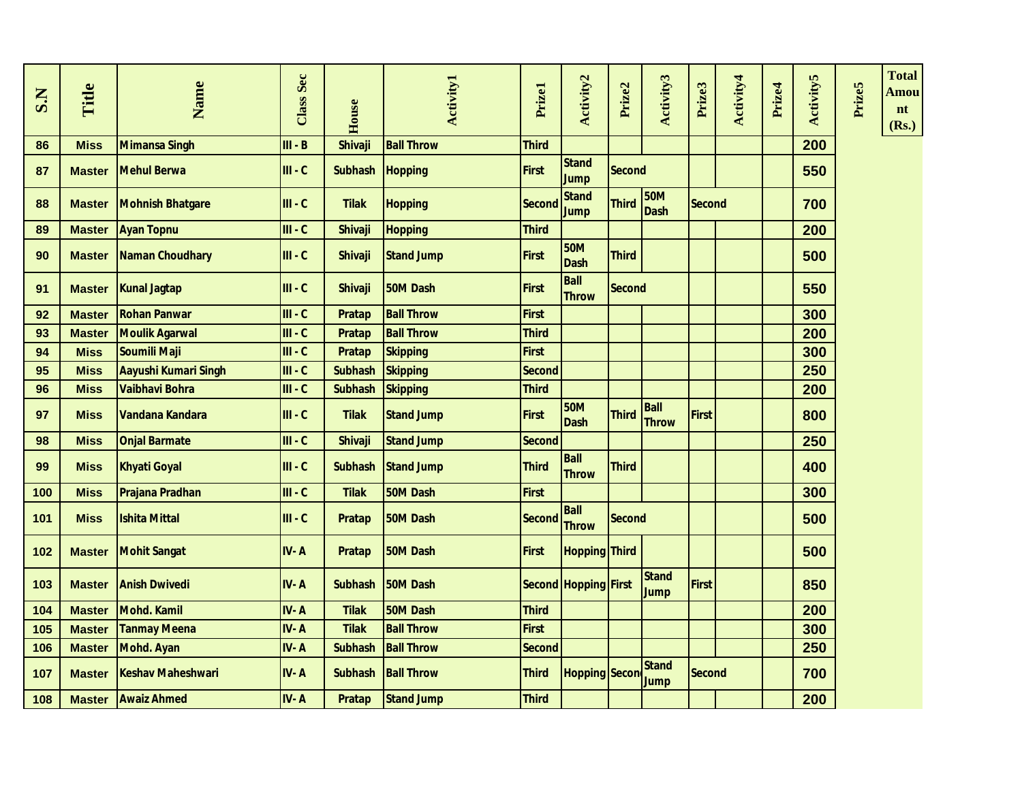| S.N | Title         | Name                     | Class Sec | House          | <b>Activity1</b>  | Prizel        | Activity2                   | Prize2        | Activity3                   | Prize3        | Activity4 | Prize4 | <b>Activity5</b> | Prize5 | <b>Total</b><br>Amou<br>n t<br>(Rs.) |
|-----|---------------|--------------------------|-----------|----------------|-------------------|---------------|-----------------------------|---------------|-----------------------------|---------------|-----------|--------|------------------|--------|--------------------------------------|
| 86  | <b>Miss</b>   | <b>Mimansa Singh</b>     | $III - B$ | <b>Shivaji</b> | <b>Ball Throw</b> | <b>Third</b>  |                             |               |                             |               |           |        | 200              |        |                                      |
| 87  | <b>Master</b> | <b>Mehul Berwa</b>       | $III - C$ | <b>Subhash</b> | <b>Hopping</b>    | <b>First</b>  | <b>Stand</b><br><b>Jump</b> | <b>Second</b> |                             |               |           |        | 550              |        |                                      |
| 88  | <b>Master</b> | <b>Mohnish Bhatgare</b>  | $III - C$ | <b>Tilak</b>   | <b>Hopping</b>    | <b>Second</b> | <b>Stand</b><br><b>Jump</b> | <b>Third</b>  | <b>50M</b><br><b>Dash</b>   | <b>Second</b> |           |        | 700              |        |                                      |
| 89  | <b>Master</b> | <b>Ayan Topnu</b>        | $III - C$ | <b>Shivaji</b> | <b>Hopping</b>    | <b>Third</b>  |                             |               |                             |               |           |        | 200              |        |                                      |
| 90  | <b>Master</b> | Naman Choudhary          | $III - C$ | <b>Shivaji</b> | <b>Stand Jump</b> | <b>First</b>  | <b>50M</b><br><b>Dash</b>   | <b>Third</b>  |                             |               |           |        | 500              |        |                                      |
| 91  | <b>Master</b> | <b>Kunal Jagtap</b>      | $III - C$ | <b>Shivaji</b> | 50M Dash          | <b>First</b>  | <b>Ball</b><br><b>Throw</b> | <b>Second</b> |                             |               |           |        | 550              |        |                                      |
| 92  | <b>Master</b> | <b>Rohan Panwar</b>      | $III - C$ | Pratap         | <b>Ball Throw</b> | <b>First</b>  |                             |               |                             |               |           |        | 300              |        |                                      |
| 93  | <b>Master</b> | <b>Moulik Agarwal</b>    | $III - C$ | <b>Pratap</b>  | <b>Ball Throw</b> | <b>Third</b>  |                             |               |                             |               |           |        | 200              |        |                                      |
| 94  | <b>Miss</b>   | Soumili Maji             | $III - C$ | Pratap         | <b>Skipping</b>   | <b>First</b>  |                             |               |                             |               |           |        | 300              |        |                                      |
| 95  | <b>Miss</b>   | Aayushi Kumari Singh     | $III - C$ | <b>Subhash</b> | <b>Skipping</b>   | <b>Second</b> |                             |               |                             |               |           |        | 250              |        |                                      |
| 96  | <b>Miss</b>   | Vaibhavi Bohra           | $III - C$ | <b>Subhash</b> | <b>Skipping</b>   | <b>Third</b>  |                             |               |                             |               |           |        | 200              |        |                                      |
| 97  | <b>Miss</b>   | Vandana Kandara          | $III - C$ | <b>Tilak</b>   | <b>Stand Jump</b> | <b>First</b>  | <b>50M</b><br><b>Dash</b>   | <b>Third</b>  | <b>Ball</b><br><b>Throw</b> | <b>First</b>  |           |        | 800              |        |                                      |
| 98  | <b>Miss</b>   | <b>Onjal Barmate</b>     | $III - C$ | <b>Shivaji</b> | <b>Stand Jump</b> | <b>Second</b> |                             |               |                             |               |           |        | 250              |        |                                      |
| 99  | <b>Miss</b>   | <b>Khyati Goyal</b>      | $III - C$ | <b>Subhash</b> | <b>Stand Jump</b> | <b>Third</b>  | <b>Ball</b><br><b>Throw</b> | <b>Third</b>  |                             |               |           |        | 400              |        |                                      |
| 100 | <b>Miss</b>   | Prajana Pradhan          | $III - C$ | <b>Tilak</b>   | 50M Dash          | <b>First</b>  |                             |               |                             |               |           |        | 300              |        |                                      |
| 101 | <b>Miss</b>   | <b>Ishita Mittal</b>     | $III - C$ | <b>Pratap</b>  | 50M Dash          | <b>Second</b> | <b>Ball</b><br><b>Throw</b> | <b>Second</b> |                             |               |           |        | 500              |        |                                      |
| 102 | <b>Master</b> | <b>Mohit Sangat</b>      | IV-A      | Pratap         | 50M Dash          | First         | <b>Hopping Third</b>        |               |                             |               |           |        | 500              |        |                                      |
| 103 | <b>Master</b> | <b>Anish Dwivedi</b>     | IV-A      | <b>Subhash</b> | 50M Dash          |               | <b>Second Hopping First</b> |               | <b>Stand</b><br>Jump        | <b>First</b>  |           |        | 850              |        |                                      |
| 104 | <b>Master</b> | Mohd. Kamil              | IV-A      | <b>Tilak</b>   | 50M Dash          | <b>Third</b>  |                             |               |                             |               |           |        | 200              |        |                                      |
| 105 | <b>Master</b> | <b>Tanmay Meena</b>      | IV-A      | <b>Tilak</b>   | <b>Ball Throw</b> | <b>First</b>  |                             |               |                             |               |           |        | 300              |        |                                      |
| 106 | <b>Master</b> | <b>Mohd. Ayan</b>        | IV-A      | <b>Subhash</b> | <b>Ball Throw</b> | <b>Second</b> |                             |               |                             |               |           |        | 250              |        |                                      |
| 107 | <b>Master</b> | <b>Keshav Maheshwari</b> | IV-A      | <b>Subhash</b> | <b>Ball Throw</b> | <b>Third</b>  | <b>Hopping Secon</b>        |               | <b>Stand</b><br><b>Jump</b> | <b>Second</b> |           |        | 700              |        |                                      |
| 108 | <b>Master</b> | <b>Awaiz Ahmed</b>       | IV-A      | Pratap         | <b>Stand Jump</b> | <b>Third</b>  |                             |               |                             |               |           |        | 200              |        |                                      |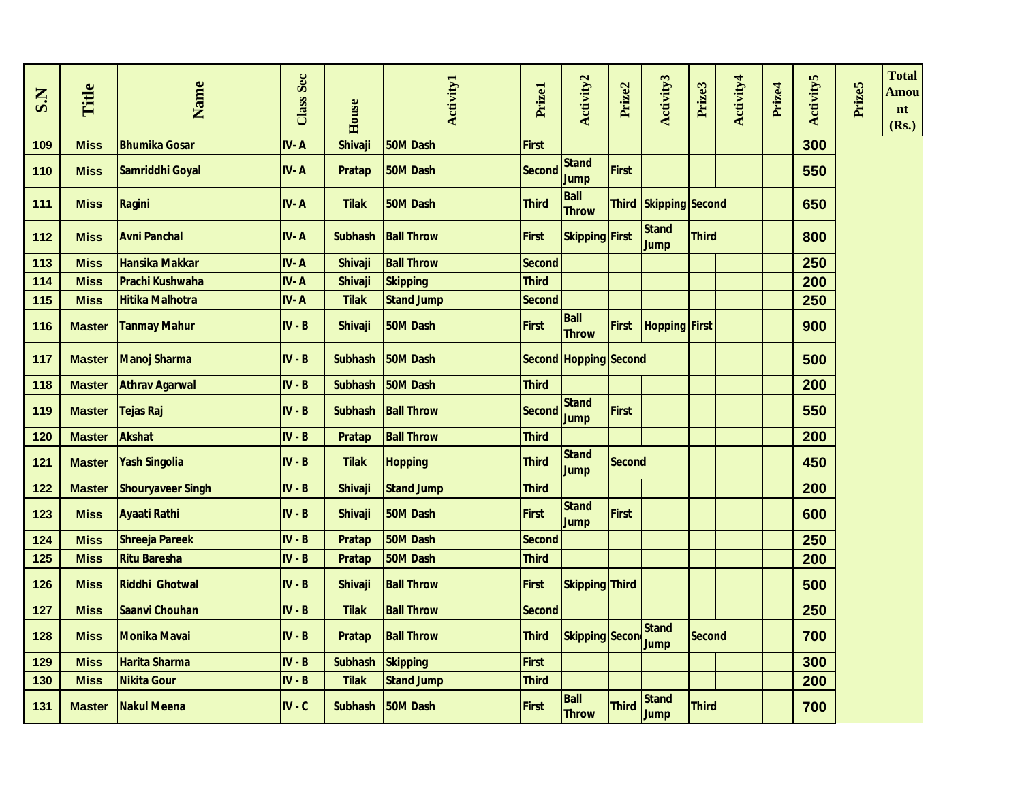| Title         | Name                     | Class Sec                                                             | House          | <b>Activity1</b>  | Prizel                                                                                                                                                                      | Activity2                   | Prize2       | Activity3                                                                                                               | Prize3                                 | Activity4 | Prize4                                                                                                      | <b>Activity5</b> | Prize5 | <b>Total</b><br>Amou<br>nt<br>(Rs.) |
|---------------|--------------------------|-----------------------------------------------------------------------|----------------|-------------------|-----------------------------------------------------------------------------------------------------------------------------------------------------------------------------|-----------------------------|--------------|-------------------------------------------------------------------------------------------------------------------------|----------------------------------------|-----------|-------------------------------------------------------------------------------------------------------------|------------------|--------|-------------------------------------|
| <b>Miss</b>   | <b>Bhumika Gosar</b>     | IV-A                                                                  | Shivaji        | 50M Dash          | <b>First</b>                                                                                                                                                                |                             |              |                                                                                                                         |                                        |           |                                                                                                             | 300              |        |                                     |
| <b>Miss</b>   | Samriddhi Goyal          | IV-A                                                                  | Pratap         | 50M Dash          | <b>Second</b>                                                                                                                                                               | <b>Stand</b><br><b>Jump</b> |              |                                                                                                                         |                                        |           |                                                                                                             | 550              |        |                                     |
| <b>Miss</b>   |                          | IV-A                                                                  | <b>Tilak</b>   | 50M Dash          | <b>Third</b>                                                                                                                                                                | <b>Ball</b><br><b>Throw</b> |              |                                                                                                                         |                                        |           |                                                                                                             | 650              |        |                                     |
| <b>Miss</b>   | <b>Avni Panchal</b>      | IV-A                                                                  | <b>Subhash</b> |                   | <b>First</b>                                                                                                                                                                |                             |              | <b>Stand</b><br>Jump                                                                                                    |                                        |           |                                                                                                             | 800              |        |                                     |
| <b>Miss</b>   | <b>Hansika Makkar</b>    | IV-A                                                                  | <b>Shivaji</b> |                   | <b>Second</b>                                                                                                                                                               |                             |              |                                                                                                                         |                                        |           |                                                                                                             | 250              |        |                                     |
| <b>Miss</b>   | <b>Prachi Kushwaha</b>   | IV-A                                                                  | Shivaji        | <b>Skipping</b>   | <b>Third</b>                                                                                                                                                                |                             |              |                                                                                                                         |                                        |           |                                                                                                             | 200              |        |                                     |
| <b>Miss</b>   | <b>Hitika Malhotra</b>   | IV-A                                                                  | <b>Tilak</b>   | <b>Stand Jump</b> | <b>Second</b>                                                                                                                                                               |                             |              |                                                                                                                         |                                        |           |                                                                                                             | 250              |        |                                     |
| <b>Master</b> |                          | $IV - B$                                                              | Shivaji        | 50M Dash          | <b>First</b>                                                                                                                                                                | <b>Ball</b><br><b>Throw</b> |              |                                                                                                                         |                                        |           |                                                                                                             | 900              |        |                                     |
| <b>Master</b> |                          | $IV - B$                                                              | <b>Subhash</b> | <b>50M Dash</b>   |                                                                                                                                                                             |                             |              |                                                                                                                         |                                        |           |                                                                                                             | 500              |        |                                     |
| <b>Master</b> | <b>Athrav Agarwal</b>    | $IV - B$                                                              | <b>Subhash</b> | 50M Dash          | <b>Third</b>                                                                                                                                                                |                             |              |                                                                                                                         |                                        |           |                                                                                                             | 200              |        |                                     |
| <b>Master</b> | Tejas Raj                | $IV - B$                                                              | <b>Subhash</b> |                   | Second                                                                                                                                                                      | <b>Stand</b><br><b>Jump</b> |              |                                                                                                                         |                                        |           |                                                                                                             | 550              |        |                                     |
| <b>Master</b> | <b>Akshat</b>            | $IV - B$                                                              | <b>Pratap</b>  | <b>Ball Throw</b> | <b>Third</b>                                                                                                                                                                |                             |              |                                                                                                                         |                                        |           |                                                                                                             | 200              |        |                                     |
| <b>Master</b> |                          | $IV - B$                                                              | <b>Tilak</b>   |                   | <b>Third</b>                                                                                                                                                                | <b>Stand</b><br><b>Jump</b> |              |                                                                                                                         |                                        |           |                                                                                                             | 450              |        |                                     |
| <b>Master</b> | <b>Shouryaveer Singh</b> | $IV - B$                                                              | <b>Shivaji</b> |                   | <b>Third</b>                                                                                                                                                                |                             |              |                                                                                                                         |                                        |           |                                                                                                             | 200              |        |                                     |
| <b>Miss</b>   | <b>Ayaati Rathi</b>      | $IV - B$                                                              | <b>Shivaji</b> |                   | <b>First</b>                                                                                                                                                                | <b>Stand</b><br><b>Jump</b> |              |                                                                                                                         |                                        |           |                                                                                                             | 600              |        |                                     |
| <b>Miss</b>   | <b>Shreeja Pareek</b>    | $IV - B$                                                              | <b>Pratap</b>  | 50M Dash          | Second                                                                                                                                                                      |                             |              |                                                                                                                         |                                        |           |                                                                                                             | 250              |        |                                     |
| <b>Miss</b>   | <b>Ritu Baresha</b>      | $IV - B$                                                              | <b>Pratap</b>  | 50M Dash          | <b>Third</b>                                                                                                                                                                |                             |              |                                                                                                                         |                                        |           |                                                                                                             | 200              |        |                                     |
| <b>Miss</b>   | <b>Riddhi Ghotwal</b>    | $IV - B$                                                              | Shivaji        |                   | <b>First</b>                                                                                                                                                                |                             |              |                                                                                                                         |                                        |           |                                                                                                             | 500              |        |                                     |
| <b>Miss</b>   | Saanvi Chouhan           | $IV - B$                                                              | <b>Tilak</b>   | <b>Ball Throw</b> | <b>Second</b>                                                                                                                                                               |                             |              |                                                                                                                         |                                        |           |                                                                                                             | 250              |        |                                     |
| <b>Miss</b>   | <b>Monika Mavai</b>      | $IV - B$                                                              | <b>Pratap</b>  |                   | <b>Third</b>                                                                                                                                                                |                             |              | <b>Stand</b><br><b>Jump</b>                                                                                             |                                        |           |                                                                                                             | 700              |        |                                     |
| <b>Miss</b>   | <b>Harita Sharma</b>     | $IV - B$                                                              | <b>Subhash</b> |                   | <b>First</b>                                                                                                                                                                |                             |              |                                                                                                                         |                                        |           |                                                                                                             | 300              |        |                                     |
| <b>Miss</b>   | <b>Nikita Gour</b>       | $IV - B$                                                              | <b>Tilak</b>   | <b>Stand Jump</b> | <b>Third</b>                                                                                                                                                                |                             |              |                                                                                                                         |                                        |           |                                                                                                             | 200              |        |                                     |
| <b>Master</b> | <b>Nakul Meena</b>       | $IV - C$                                                              | <b>Subhash</b> | 50M Dash          | <b>First</b>                                                                                                                                                                | <b>Ball</b><br><b>Throw</b> | <b>Third</b> | Stand<br><b>Jump</b>                                                                                                    |                                        |           |                                                                                                             | 700              |        |                                     |
|               |                          | Ragini<br><b>Tanmay Mahur</b><br>Manoj Sharma<br><b>Yash Singolia</b> |                |                   | <b>Ball Throw</b><br><b>Ball Throw</b><br><b>Ball Throw</b><br><b>Hopping</b><br><b>Stand Jump</b><br>50M Dash<br><b>Ball Throw</b><br><b>Ball Throw</b><br><b>Skipping</b> |                             |              | <b>First</b><br><b>Skipping First</b><br><b>First</b><br><b>First</b><br><b>Skipping Third</b><br><b>Skipping Secon</b> | Second Hopping Second<br><b>Second</b> |           | <b>Third Skipping Second</b><br><b>Third</b><br><b>First Hopping First</b><br><b>Second</b><br><b>Third</b> |                  |        |                                     |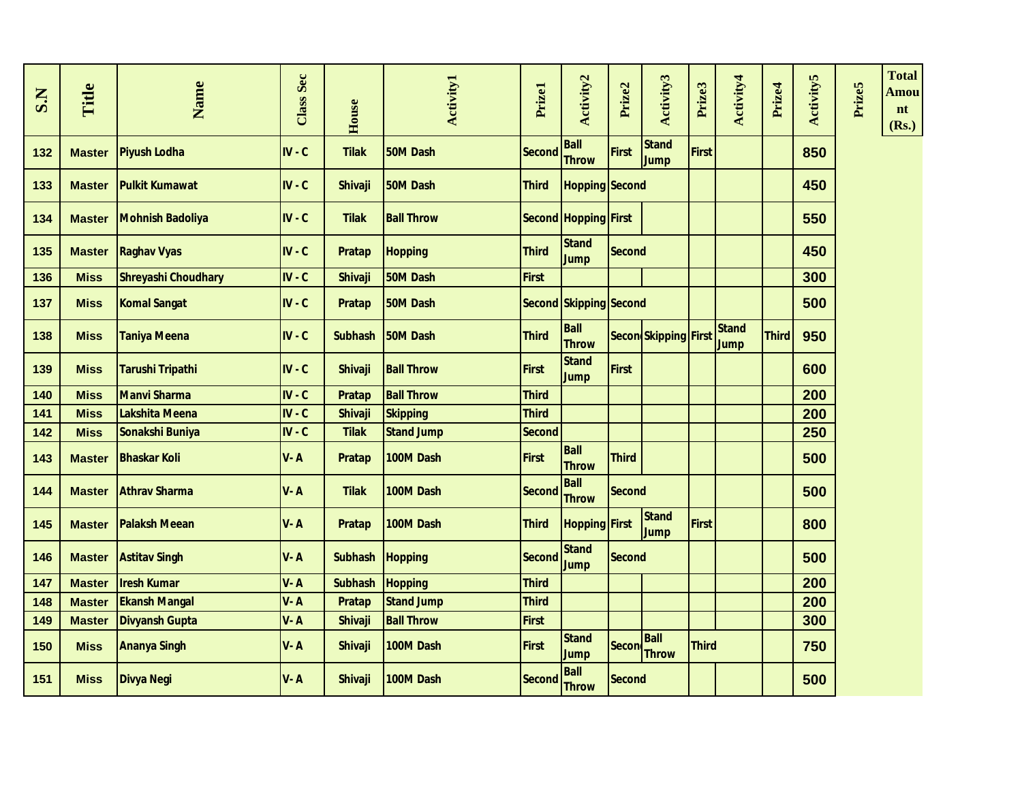| S.N | Title         | Name                       | <b>Class Sec</b> | House          | <b>Activity1</b>  | Prizel        | Activity <sub>2</sub>         | Prize2        | Activity3                   | Prize3       | Activity4            | Prize4       | <b>Activity5</b> | Prize5 | <b>Total</b><br>Amou<br>nt<br>(Rs.) |
|-----|---------------|----------------------------|------------------|----------------|-------------------|---------------|-------------------------------|---------------|-----------------------------|--------------|----------------------|--------------|------------------|--------|-------------------------------------|
| 132 | <b>Master</b> | <b>Piyush Lodha</b>        | $IV - C$         | <b>Tilak</b>   | 50M Dash          | <b>Second</b> | <b>Ball</b><br><b>Throw</b>   | First         | <b>Stand</b><br><b>Jump</b> | <b>First</b> |                      |              | 850              |        |                                     |
| 133 | <b>Master</b> | <b>Pulkit Kumawat</b>      | $IV - C$         | <b>Shivaji</b> | 50M Dash          | <b>Third</b>  | <b>Hopping Second</b>         |               |                             |              |                      |              | 450              |        |                                     |
| 134 | <b>Master</b> | <b>Mohnish Badoliya</b>    | $IV - C$         | <b>Tilak</b>   | <b>Ball Throw</b> |               | Second Hopping First          |               |                             |              |                      |              | 550              |        |                                     |
| 135 | <b>Master</b> | <b>Raghav Vyas</b>         | $IV - C$         | <b>Pratap</b>  | <b>Hopping</b>    | <b>Third</b>  | <b>Stand</b><br><b>Jump</b>   | <b>Second</b> |                             |              |                      |              | 450              |        |                                     |
| 136 | <b>Miss</b>   | <b>Shreyashi Choudhary</b> | $IV - C$         | <b>Shivaji</b> | 50M Dash          | <b>First</b>  |                               |               |                             |              |                      |              | 300              |        |                                     |
| 137 | <b>Miss</b>   | <b>Komal Sangat</b>        | $IV - C$         | <b>Pratap</b>  | 50M Dash          |               | <b>Second Skipping Second</b> |               |                             |              |                      |              | 500              |        |                                     |
| 138 | <b>Miss</b>   | <b>Taniya Meena</b>        | $IV - C$         | <b>Subhash</b> | <b>50M Dash</b>   | <b>Third</b>  | <b>Ball</b><br><b>Throw</b>   |               | Secon Skipping First        |              | <b>Stand</b><br>Jump | <b>Third</b> | 950              |        |                                     |
| 139 | <b>Miss</b>   | Tarushi Tripathi           | $IV - C$         | <b>Shivaji</b> | <b>Ball Throw</b> | <b>First</b>  | <b>Stand</b><br><b>Jump</b>   | <b>First</b>  |                             |              |                      |              | 600              |        |                                     |
| 140 | <b>Miss</b>   | <b>Manvi Sharma</b>        | $IV - C$         | <b>Pratap</b>  | <b>Ball Throw</b> | <b>Third</b>  |                               |               |                             |              |                      |              | 200              |        |                                     |
| 141 | <b>Miss</b>   | Lakshita Meena             | $IV - C$         | Shivaji        | Skipping          | <b>Third</b>  |                               |               |                             |              |                      |              | 200              |        |                                     |
| 142 | <b>Miss</b>   | Sonakshi Buniya            | $IV - C$         | <b>Tilak</b>   | <b>Stand Jump</b> | <b>Second</b> |                               |               |                             |              |                      |              | 250              |        |                                     |
| 143 | <b>Master</b> | <b>Bhaskar Koli</b>        | $V - A$          | <b>Pratap</b>  | 100M Dash         | <b>First</b>  | <b>Ball</b><br><b>Throw</b>   | <b>Third</b>  |                             |              |                      |              | 500              |        |                                     |
| 144 | <b>Master</b> | <b>Athray Sharma</b>       | $V - A$          | <b>Tilak</b>   | 100M Dash         | Second        | <b>Ball</b><br><b>Throw</b>   | <b>Second</b> |                             |              |                      |              | 500              |        |                                     |
| 145 | <b>Master</b> | <b>Palaksh Meean</b>       | V-A              | <b>Pratap</b>  | 100M Dash         | <b>Third</b>  | <b>Hopping First</b>          |               | <b>Stand</b><br><b>Jump</b> | <b>First</b> |                      |              | 800              |        |                                     |
| 146 | <b>Master</b> | <b>Astitav Singh</b>       | V-A              | <b>Subhash</b> | Hopping           | <b>Second</b> | <b>Stand</b><br><b>Jump</b>   | <b>Second</b> |                             |              |                      |              | 500              |        |                                     |
| 147 | <b>Master</b> | <b>Iresh Kumar</b>         | $V - A$          | <b>Subhash</b> | <b>Hopping</b>    | <b>Third</b>  |                               |               |                             |              |                      |              | 200              |        |                                     |
| 148 | <b>Master</b> | <b>Ekansh Mangal</b>       | V-A              | <b>Pratap</b>  | <b>Stand Jump</b> | <b>Third</b>  |                               |               |                             |              |                      |              | 200              |        |                                     |
| 149 | <b>Master</b> | <b>Divyansh Gupta</b>      | V-A              | <b>Shivaji</b> | <b>Ball Throw</b> | <b>First</b>  |                               |               |                             |              |                      |              | 300              |        |                                     |
| 150 | <b>Miss</b>   | <b>Ananya Singh</b>        | $V - A$          | <b>Shivaji</b> | 100M Dash         | <b>First</b>  | <b>Stand</b><br><b>Jump</b>   |               | <b>Ball</b><br>Secon Throw  | <b>Third</b> |                      |              | 750              |        |                                     |
| 151 | <b>Miss</b>   | <b>Divya Negi</b>          | $V - A$          | <b>Shivaji</b> | 100M Dash         | <b>Second</b> | <b>Ball</b><br><b>Throw</b>   | <b>Second</b> |                             |              |                      |              | 500              |        |                                     |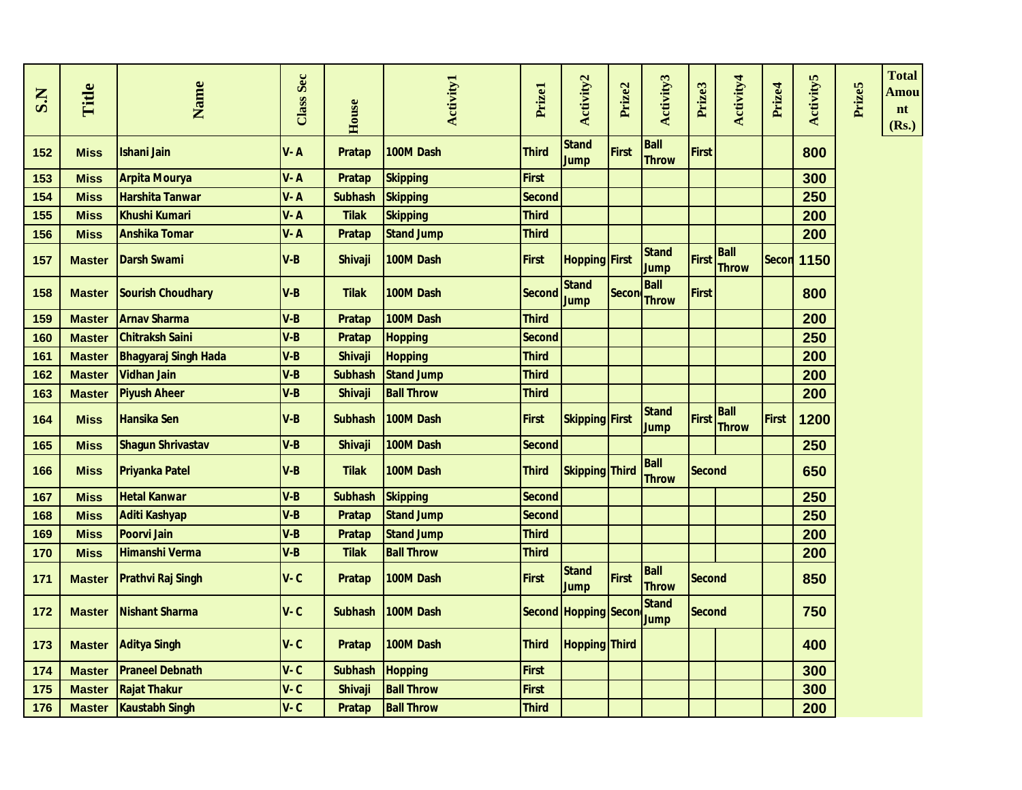| S.N | Title         | Name                        | Class Sec | House          | <b>Activity1</b>  | Prizel        | Activity2                   | Prize2       | Activity3                   | Prize3        | Activity4                   | Prize4       | <b>Activity5</b> | Prize5 | <b>Total</b><br>Amou<br>nt<br>(Rs.) |
|-----|---------------|-----------------------------|-----------|----------------|-------------------|---------------|-----------------------------|--------------|-----------------------------|---------------|-----------------------------|--------------|------------------|--------|-------------------------------------|
| 152 | <b>Miss</b>   | <b>Ishani Jain</b>          | $V - A$   | <b>Pratap</b>  | 100M Dash         | <b>Third</b>  | <b>Stand</b><br><b>Jump</b> | <b>First</b> | Ball<br><b>Throw</b>        | <b>First</b>  |                             |              | 800              |        |                                     |
| 153 | <b>Miss</b>   | <b>Arpita Mourya</b>        | $V - A$   | <b>Pratap</b>  | <b>Skipping</b>   | <b>First</b>  |                             |              |                             |               |                             |              | 300              |        |                                     |
| 154 | <b>Miss</b>   | <b>Harshita Tanwar</b>      | $V - A$   | <b>Subhash</b> | <b>Skipping</b>   | <b>Second</b> |                             |              |                             |               |                             |              | 250              |        |                                     |
| 155 | <b>Miss</b>   | <b>Khushi Kumari</b>        | $V - A$   | <b>Tilak</b>   | <b>Skipping</b>   | <b>Third</b>  |                             |              |                             |               |                             |              | 200              |        |                                     |
| 156 | <b>Miss</b>   | <b>Anshika Tomar</b>        | V-A       | <b>Pratap</b>  | <b>Stand Jump</b> | <b>Third</b>  |                             |              |                             |               |                             |              | 200              |        |                                     |
| 157 | <b>Master</b> | <b>Darsh Swami</b>          | V-B       | <b>Shivaji</b> | 100M Dash         | <b>First</b>  | <b>Hopping First</b>        |              | <b>Stand</b><br>Jump        | <b>First</b>  | <b>Ball</b><br><b>Throw</b> | Secon        | 1150             |        |                                     |
| 158 | <b>Master</b> | <b>Sourish Choudhary</b>    | V-B       | <b>Tilak</b>   | 100M Dash         | <b>Second</b> | <b>Stand</b><br><b>Jump</b> | Secon        | <b>Ball</b><br><b>Throw</b> | First         |                             |              | 800              |        |                                     |
| 159 | <b>Master</b> | <b>Arnav Sharma</b>         | $V-B$     | Pratap         | 100M Dash         | <b>Third</b>  |                             |              |                             |               |                             |              | 200              |        |                                     |
| 160 | <b>Master</b> | <b>Chitraksh Saini</b>      | V-B       | <b>Pratap</b>  | <b>Hopping</b>    | <b>Second</b> |                             |              |                             |               |                             |              | 250              |        |                                     |
| 161 | <b>Master</b> | <b>Bhagyaraj Singh Hada</b> | V-B       | <b>Shivaji</b> | <b>Hopping</b>    | <b>Third</b>  |                             |              |                             |               |                             |              | 200              |        |                                     |
| 162 | <b>Master</b> | <b>Vidhan Jain</b>          | $V-B$     | <b>Subhash</b> | <b>Stand Jump</b> | <b>Third</b>  |                             |              |                             |               |                             |              | 200              |        |                                     |
| 163 | <b>Master</b> | <b>Piyush Aheer</b>         | $V-B$     | <b>Shivaji</b> | <b>Ball Throw</b> | Third         |                             |              |                             |               |                             |              | 200              |        |                                     |
| 164 | <b>Miss</b>   | <b>Hansika Sen</b>          | $V-B$     | <b>Subhash</b> | 100M Dash         | <b>First</b>  | <b>Skipping First</b>       |              | <b>Stand</b><br>Jump        | <b>First</b>  | <b>Ball</b><br><b>Throw</b> | <b>First</b> | 1200             |        |                                     |
| 165 | <b>Miss</b>   | <b>Shagun Shrivastav</b>    | $V-B$     | <b>Shivaji</b> | 100M Dash         | <b>Second</b> |                             |              |                             |               |                             |              | 250              |        |                                     |
| 166 | <b>Miss</b>   | <b>Priyanka Patel</b>       | V-B       | <b>Tilak</b>   | 100M Dash         | <b>Third</b>  | <b>Skipping Third</b>       |              | <b>Ball</b><br><b>Throw</b> | <b>Second</b> |                             |              | 650              |        |                                     |
| 167 | <b>Miss</b>   | <b>Hetal Kanwar</b>         | $V-B$     | <b>Subhash</b> | <b>Skipping</b>   | <b>Second</b> |                             |              |                             |               |                             |              | 250              |        |                                     |
| 168 | <b>Miss</b>   | <b>Aditi Kashyap</b>        | $V-B$     | <b>Pratap</b>  | <b>Stand Jump</b> | <b>Second</b> |                             |              |                             |               |                             |              | 250              |        |                                     |
| 169 | <b>Miss</b>   | <b>Poorvi Jain</b>          | $V-B$     | <b>Pratap</b>  | <b>Stand Jump</b> | <b>Third</b>  |                             |              |                             |               |                             |              | 200              |        |                                     |
| 170 | <b>Miss</b>   | <b>Himanshi Verma</b>       | $V-B$     | <b>Tilak</b>   | <b>Ball Throw</b> | Third         |                             |              |                             |               |                             |              | 200              |        |                                     |
| 171 | <b>Master</b> | <b>Prathvi Raj Singh</b>    | $V - C$   | <b>Pratap</b>  | 100M Dash         | <b>First</b>  | <b>Stand</b><br>Jump        | <b>First</b> | <b>Ball</b><br><b>Throw</b> | <b>Second</b> |                             |              | 850              |        |                                     |
| 172 | <b>Master</b> | <b>Nishant Sharma</b>       | $V - C$   | <b>Subhash</b> | 100M Dash         |               | Second Hopping Secon        |              | <b>Stand</b><br><b>Jump</b> | <b>Second</b> |                             |              | 750              |        |                                     |
| 173 | <b>Master</b> | <b>Aditya Singh</b>         | $V - C$   | <b>Pratap</b>  | 100M Dash         | <b>Third</b>  | <b>Hopping Third</b>        |              |                             |               |                             |              | 400              |        |                                     |
| 174 | <b>Master</b> | <b>Praneel Debnath</b>      | $V - C$   | <b>Subhash</b> | <b>Hopping</b>    | <b>First</b>  |                             |              |                             |               |                             |              | 300              |        |                                     |
| 175 | <b>Master</b> | <b>Rajat Thakur</b>         | $V - C$   | <b>Shivaji</b> | <b>Ball Throw</b> | <b>First</b>  |                             |              |                             |               |                             |              | 300              |        |                                     |
| 176 | <b>Master</b> | <b>Kaustabh Singh</b>       | $V - C$   | Pratap         | <b>Ball Throw</b> | <b>Third</b>  |                             |              |                             |               |                             |              | 200              |        |                                     |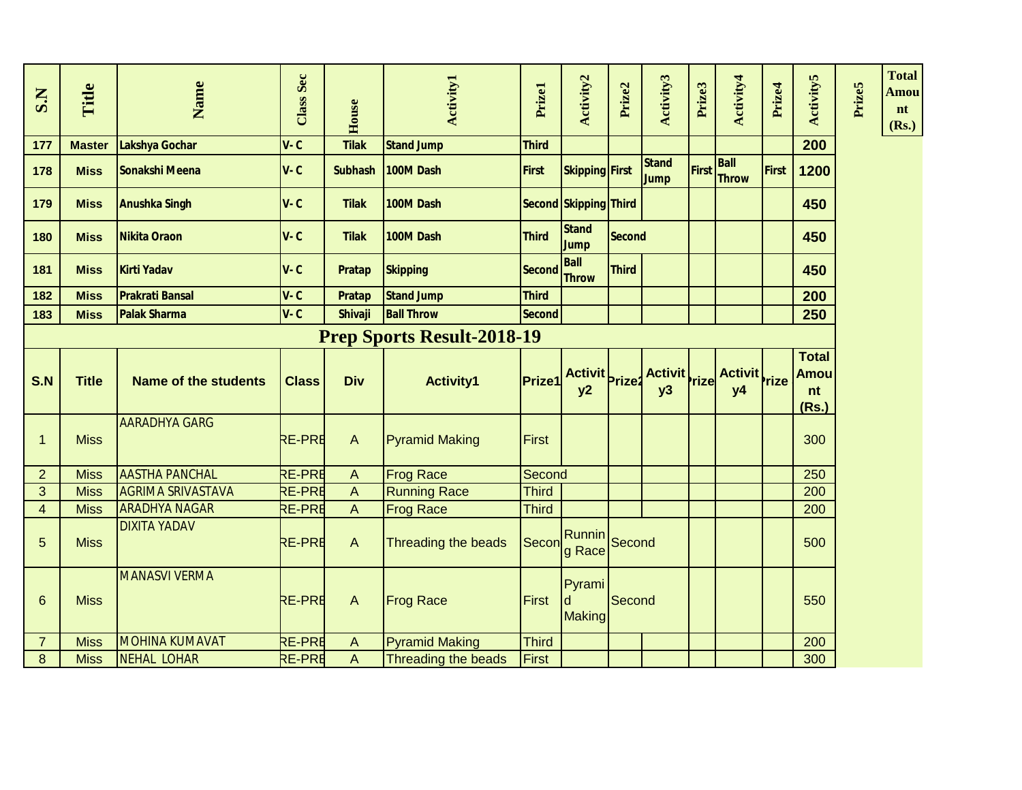| S.N                     | Title         | Name                        | <b>Class Sec</b> | House          | <b>Activity1</b>                  | Prizel        | Activity2                    | Prize2       | Activity3                   | Prize3 | Activity4                   | Prize4       | <b>Activity5</b>                           | Prize5 | <b>Total</b><br>Amou<br>nt<br>(Rs.) |
|-------------------------|---------------|-----------------------------|------------------|----------------|-----------------------------------|---------------|------------------------------|--------------|-----------------------------|--------|-----------------------------|--------------|--------------------------------------------|--------|-------------------------------------|
| 177                     | <b>Master</b> | Lakshya Gochar              | $V - C$          | <b>Tilak</b>   | <b>Stand Jump</b>                 | <b>Third</b>  |                              |              |                             |        |                             |              | 200                                        |        |                                     |
| 178                     | <b>Miss</b>   | Sonakshi Meena              | $V - C$          | <b>Subhash</b> | 100M Dash                         | First         | <b>Skipping First</b>        |              | <b>Stand</b><br><b>Jump</b> | First  | <b>Ball</b><br><b>Throw</b> | <b>First</b> | 1200                                       |        |                                     |
| 179                     | <b>Miss</b>   | <b>Anushka Singh</b>        | $V - C$          | <b>Tilak</b>   | 100M Dash                         |               | Second Skipping Third        |              |                             |        |                             |              | 450                                        |        |                                     |
| 180                     | <b>Miss</b>   | <b>Nikita Oraon</b>         | $V - C$          | <b>Tilak</b>   | 100M Dash                         | <b>Third</b>  | <b>Stand</b><br><b>Jump</b>  | Second       |                             |        |                             |              | 450                                        |        |                                     |
| 181                     | <b>Miss</b>   | <b>Kirti Yadav</b>          | $V - C$          | Pratap         | <b>Skipping</b>                   | <b>Second</b> | <b>Ball</b><br><b>Throw</b>  | <b>Third</b> |                             |        |                             |              | 450                                        |        |                                     |
| 182                     | <b>Miss</b>   | <b>Prakrati Bansal</b>      | $V - C$          | Pratap         | <b>Stand Jump</b>                 | <b>Third</b>  |                              |              |                             |        |                             |              | 200                                        |        |                                     |
| 183                     | <b>Miss</b>   | <b>Palak Sharma</b>         | $V - C$          | <b>Shivaji</b> | <b>Ball Throw</b>                 | <b>Second</b> |                              |              |                             |        |                             |              | 250                                        |        |                                     |
|                         |               |                             |                  |                | <b>Prep Sports Result-2018-19</b> |               |                              |              |                             |        |                             |              |                                            |        |                                     |
| S.N                     | <b>Title</b>  | <b>Name of the students</b> | <b>Class</b>     | <b>Div</b>     | <b>Activity1</b>                  | <b>Prize1</b> | Activit Prize2               |              | Activit rize<br>y3          |        | Activit rize<br><b>y4</b>   |              | <b>Total</b><br><b>Amou</b><br>nt<br>(Rs.) |        |                                     |
| $\mathbf{1}$            | <b>Miss</b>   | <b>AARADHYA GARG</b>        | <b>RE-PRE</b>    | $\mathsf{A}$   | <b>Pyramid Making</b>             | First         |                              |              |                             |        |                             |              | 300                                        |        |                                     |
| $\overline{2}$          | <b>Miss</b>   | <b>AASTHA PANCHAL</b>       | <b>RE-PRE</b>    | $\Lambda$      | <b>Frog Race</b>                  | Second        |                              |              |                             |        |                             |              | 250                                        |        |                                     |
| 3                       | <b>Miss</b>   | <b>AGRIMA SRIVASTAVA</b>    | <b>RE-PRE</b>    | $\Lambda$      | <b>Running Race</b>               | <b>Third</b>  |                              |              |                             |        |                             |              | 200                                        |        |                                     |
| $\overline{\mathbf{4}}$ | <b>Miss</b>   | <b>ARADHYA NAGAR</b>        | <b>RE-PRE</b>    | A              | <b>Frog Race</b>                  | <b>Third</b>  |                              |              |                             |        |                             |              | 200                                        |        |                                     |
| 5                       | <b>Miss</b>   | <b>DIXITA YADAV</b>         | <b>RE-PRE</b>    | $\wedge$       | Threading the beads               | Secon         | Runnin Second<br>g Race      |              |                             |        |                             |              | 500                                        |        |                                     |
| $6\phantom{1}6$         | <b>Miss</b>   | <b>MANASVI VERMA</b>        | <b>RE-PRE</b>    | $\overline{A}$ | <b>Frog Race</b>                  | First         | Pyrami<br>d<br><b>Making</b> | Second       |                             |        |                             |              | 550                                        |        |                                     |
| $\overline{7}$          | <b>Miss</b>   | <b>MOHINA KUMAVAT</b>       | <b>RE-PRE</b>    | $\wedge$       | <b>Pyramid Making</b>             | <b>Third</b>  |                              |              |                             |        |                             |              | 200                                        |        |                                     |
| 8                       | <b>Miss</b>   | NEHAL LOHAR                 | <b>RE-PRE</b>    | A              | Threading the beads               | First         |                              |              |                             |        |                             |              | 300                                        |        |                                     |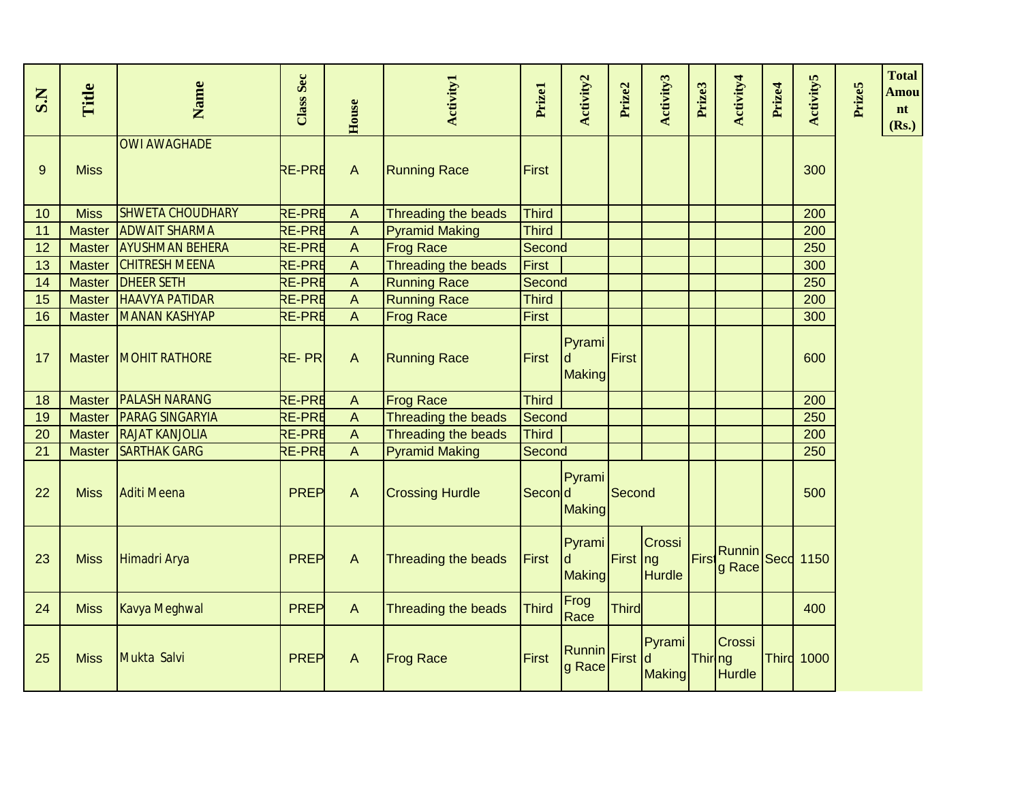| S.N | Title         | Name                    | <b>Class Sec</b> | House          | <b>Activity1</b>       | Prizel       | Activity2                           | Prize2       | Activity3               | Prize3         | Activity4               | Prize4 | <b>Activity5</b>  | Prize5 | <b>Total</b><br>Amou<br>nt<br>(Rs.) |
|-----|---------------|-------------------------|------------------|----------------|------------------------|--------------|-------------------------------------|--------------|-------------------------|----------------|-------------------------|--------|-------------------|--------|-------------------------------------|
| 9   | <b>Miss</b>   | <b>OWI AWAGHADE</b>     | <b>RE-PRE</b>    | $\overline{A}$ | <b>Running Race</b>    | <b>First</b> |                                     |              |                         |                |                         |        | 300               |        |                                     |
| 10  | <b>Miss</b>   | <b>SHWETA CHOUDHARY</b> | <b>RE-PRE</b>    | A              | Threading the beads    | Third        |                                     |              |                         |                |                         |        | 200               |        |                                     |
| 11  | <b>Master</b> | <b>ADWAIT SHARMA</b>    | <b>RE-PRE</b>    | $\overline{A}$ | <b>Pyramid Making</b>  | <b>Third</b> |                                     |              |                         |                |                         |        | 200               |        |                                     |
| 12  | <b>Master</b> | <b>AYUSHMAN BEHERA</b>  | <b>RE-PRE</b>    | A              | <b>Frog Race</b>       | Second       |                                     |              |                         |                |                         |        | 250               |        |                                     |
| 13  | <b>Master</b> | <b>CHITRESH MEENA</b>   | <b>RE-PRE</b>    | $\mathsf{A}$   | Threading the beads    | <b>First</b> |                                     |              |                         |                |                         |        | 300               |        |                                     |
| 14  | <b>Master</b> | <b>DHEER SETH</b>       | <b>RE-PRE</b>    | $\Lambda$      | <b>Running Race</b>    | Second       |                                     |              |                         |                |                         |        | 250               |        |                                     |
| 15  | <b>Master</b> | <b>HAAVYA PATIDAR</b>   | <b>RE-PRE</b>    | $\mathsf{A}$   | <b>Running Race</b>    | <b>Third</b> |                                     |              |                         |                |                         |        | 200               |        |                                     |
| 16  | <b>Master</b> | <b>MANAN KASHYAP</b>    | <b>RE-PRE</b>    | $\overline{A}$ | <b>Frog Race</b>       | <b>First</b> |                                     |              |                         |                |                         |        | 300               |        |                                     |
| 17  | <b>Master</b> | <b>MOHIT RATHORE</b>    | <b>RE-PRI</b>    | $\overline{A}$ | <b>Running Race</b>    | <b>First</b> | Pyrami<br>ld<br><b>Making</b>       | First        |                         |                |                         |        | 600               |        |                                     |
| 18  | <b>Master</b> | <b>PALASH NARANG</b>    | <b>RE-PRE</b>    | A              | <b>Frog Race</b>       | <b>Third</b> |                                     |              |                         |                |                         |        | 200               |        |                                     |
| 19  | <b>Master</b> | <b>PARAG SINGARYIA</b>  | <b>RE-PRE</b>    | $\mathsf{A}$   | Threading the beads    | Second       |                                     |              |                         |                |                         |        | 250               |        |                                     |
| 20  | <b>Master</b> | <b>RAJAT KANJOLIA</b>   | <b>RE-PRE</b>    | $\mathsf{A}$   | Threading the beads    | <b>Third</b> |                                     |              |                         |                |                         |        | 200               |        |                                     |
| 21  | <b>Master</b> | <b>SARTHAK GARG</b>     | <b>RE-PRE</b>    | $\mathsf{A}$   | <b>Pyramid Making</b>  | Second       |                                     |              |                         |                |                         |        | 250               |        |                                     |
| 22  | <b>Miss</b>   | <b>Aditi Meena</b>      | <b>PREP</b>      | $\overline{A}$ | <b>Crossing Hurdle</b> | Second       | Pyrami<br><b>Making</b>             | Second       |                         |                |                         |        | 500               |        |                                     |
| 23  | <b>Miss</b>   | Himadri Arya            | <b>PREP</b>      | $\Lambda$      | Threading the beads    | <b>First</b> | Pyrami<br><b>d</b><br><b>Making</b> | First ng     | Crossi<br><b>Hurdle</b> | First          | Runnin<br>g Race        |        | <b>Secc</b> 1150  |        |                                     |
| 24  | <b>Miss</b>   | Kavya Meghwal           | <b>PREP</b>      | $\mathsf{A}$   | Threading the beads    | <b>Third</b> | Frog<br>Race                        | <b>Third</b> |                         |                |                         |        | 400               |        |                                     |
| 25  | <b>Miss</b>   | Mukta Salvi             | <b>PREP</b>      | $\Lambda$      | <b>Frog Race</b>       | <b>First</b> | Runnin<br>g Race                    | First d      | Pyrami<br><b>Making</b> | <b>Thiring</b> | Crossi<br><b>Hurdle</b> |        | <b>Third 1000</b> |        |                                     |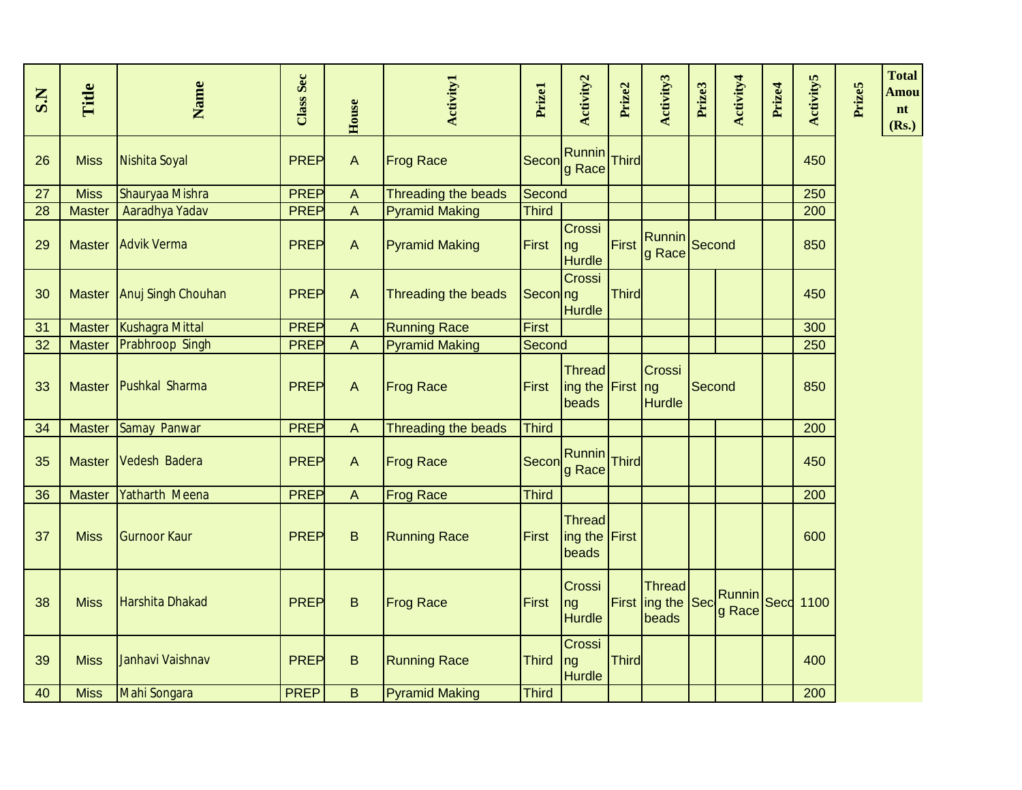| S.N | Title         | Name                  | <b>Class Sec</b> | House          | <b>Activity1</b>      | Prizel       | Activity2                                  | Prize2       | Activity3                                       | Prize3 | Activity4        | Prize4 | <b>Activity5</b> | <b>Prize5</b> | <b>Total</b><br>Amou<br>nt<br>(Rs.) |
|-----|---------------|-----------------------|------------------|----------------|-----------------------|--------------|--------------------------------------------|--------------|-------------------------------------------------|--------|------------------|--------|------------------|---------------|-------------------------------------|
| 26  | <b>Miss</b>   | Nishita Soyal         | <b>PREP</b>      | $\Lambda$      | <b>Frog Race</b>      | Secon        | Runnin<br>g Race                           | Third        |                                                 |        |                  |        | 450              |               |                                     |
| 27  | <b>Miss</b>   | Shauryaa Mishra       | <b>PREP</b>      | $\Lambda$      | Threading the beads   | Second       |                                            |              |                                                 |        |                  |        | 250              |               |                                     |
| 28  | <b>Master</b> | Aaradhya Yadav        | <b>PREP</b>      | $\Lambda$      | <b>Pyramid Making</b> | <b>Third</b> |                                            |              |                                                 |        |                  |        | 200              |               |                                     |
| 29  | <b>Master</b> | <b>Advik Verma</b>    | <b>PREP</b>      | $\Lambda$      | <b>Pyramid Making</b> | <b>First</b> | Crossi<br>ng<br><b>Hurdle</b>              | First        | Runnin<br>g Race                                | Second |                  |        | 850              |               |                                     |
| 30  | <b>Master</b> | Anuj Singh Chouhan    | <b>PREP</b>      | $\Lambda$      | Threading the beads   | Seconing     | Crossi<br>Hurdle                           | <b>Third</b> |                                                 |        |                  |        | 450              |               |                                     |
| 31  | <b>Master</b> | Kushagra Mittal       | <b>PREP</b>      | $\Lambda$      | <b>Running Race</b>   | First        |                                            |              |                                                 |        |                  |        | 300              |               |                                     |
| 32  | <b>Master</b> | Prabhroop Singh       | <b>PREP</b>      | $\overline{A}$ | <b>Pyramid Making</b> | Second       |                                            |              |                                                 |        |                  |        | 250              |               |                                     |
| 33  | <b>Master</b> | Pushkal Sharma        | PREP             | $\mathsf{A}$   | <b>Frog Race</b>      | First        | <b>Thread</b><br>ing the First ng<br>beads |              | Crossi<br><b>Hurdle</b>                         | Second |                  |        | 850              |               |                                     |
| 34  | <b>Master</b> | Samay Panwar          | <b>PREP</b>      | $\overline{A}$ | Threading the beads   | <b>Third</b> |                                            |              |                                                 |        |                  |        | 200              |               |                                     |
| 35  | <b>Master</b> | Vedesh Badera         | PREP             | $\Lambda$      | <b>Frog Race</b>      | Secon        | <b>Runnin</b><br>g Race                    | Third        |                                                 |        |                  |        | 450              |               |                                     |
| 36  | <b>Master</b> | <b>Yatharth Meena</b> | <b>PREP</b>      | $\mathsf{A}$   | <b>Frog Race</b>      | <b>Third</b> |                                            |              |                                                 |        |                  |        | 200              |               |                                     |
| 37  | <b>Miss</b>   | <b>Gurnoor Kaur</b>   | <b>PREP</b>      | $\sf B$        | <b>Running Race</b>   | First        | <b>Thread</b><br>ing the First<br>beads    |              |                                                 |        |                  |        | 600              |               |                                     |
| 38  | <b>Miss</b>   | Harshita Dhakad       | PREP             | $\sf B$        | <b>Frog Race</b>      | <b>First</b> | Crossi<br>ng<br><b>Hurdle</b>              |              | <b>Thread</b><br>First $\vert$ ing the<br>beads | Sec    | Runnin<br>g Race |        | <b>Secd 1100</b> |               |                                     |
| 39  | <b>Miss</b>   | Janhavi Vaishnav      | <b>PREP</b>      | $\sf B$        | <b>Running Race</b>   | <b>Third</b> | Crossi<br>Ing<br><b>Hurdle</b>             | Third        |                                                 |        |                  |        | 400              |               |                                     |
| 40  | <b>Miss</b>   | Mahi Songara          | <b>PREP</b>      | B              | <b>Pyramid Making</b> | <b>Third</b> |                                            |              |                                                 |        |                  |        | 200              |               |                                     |